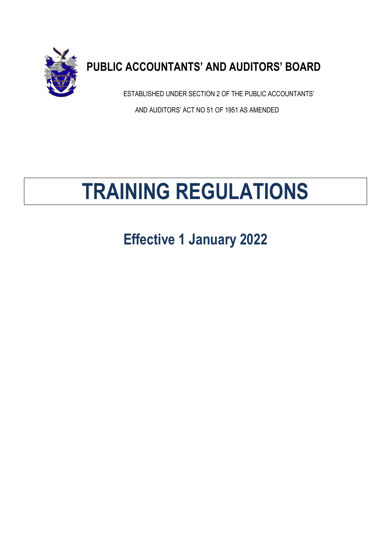

# **PUBLIC ACCOUNTANTS' AND AUDITORS' BOARD**

ESTABLISHED UNDER SECTION 2 OF THE PUBLIC ACCOUNTANTS' AND AUDITORS' ACT NO 51 OF 1951 AS AMENDED

Website:

# **TRAINING REGULATIONS** \_\_\_\_\_\_\_\_\_\_\_\_\_\_\_\_\_\_\_\_\_\_\_\_\_\_\_\_\_\_\_\_\_\_\_\_\_\_\_\_\_\_\_\_\_\_\_\_\_\_\_\_\_\_\_\_\_\_\_\_\_\_\_\_\_\_\_\_\_\_\_\_\_\_\_\_\_\_\_\_\_\_\_\_\_\_\_\_\_\_\_\_\_\_\_\_\_\_\_\_\_\_\_\_\_

**Effective 1 January 2022**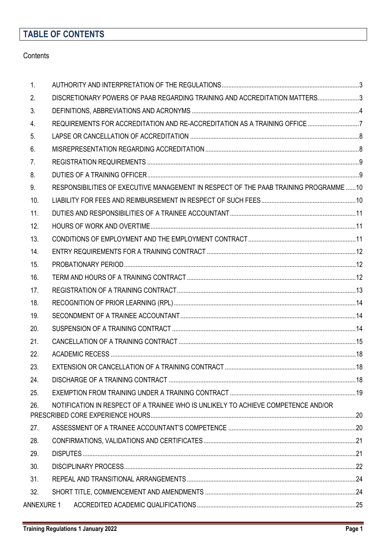# **TABLE OF CONTENTS**

### **Contents**

| 1.             |                                                                                       |  |
|----------------|---------------------------------------------------------------------------------------|--|
| 2.             | DISCRETIONARY POWERS OF PAAB REGARDING TRAINING AND ACCREDITATION MATTERS3            |  |
| 3.             |                                                                                       |  |
| 4.             |                                                                                       |  |
| 5 <sub>1</sub> |                                                                                       |  |
| 6.             |                                                                                       |  |
| 7.             |                                                                                       |  |
| 8.             |                                                                                       |  |
| 9.             | RESPONSIBILITIES OF EXECUTIVE MANAGEMENT IN RESPECT OF THE PAAB TRAINING PROGRAMME 10 |  |
| 10.            |                                                                                       |  |
| 11.            |                                                                                       |  |
| 12.            |                                                                                       |  |
| 13.            |                                                                                       |  |
| 14.            |                                                                                       |  |
| 15.            |                                                                                       |  |
| 16.            |                                                                                       |  |
| 17.            |                                                                                       |  |
| 18.            |                                                                                       |  |
| 19.            |                                                                                       |  |
| 20.            |                                                                                       |  |
| 21.            |                                                                                       |  |
| 22.            |                                                                                       |  |
| 23.            |                                                                                       |  |
| 24.            |                                                                                       |  |
| 25.            |                                                                                       |  |
| 26.            | NOTIFICATION IN RESPECT OF A TRAINEE WHO IS UNLIKELY TO ACHIEVE COMPETENCE AND/OR     |  |
|                |                                                                                       |  |
| 27.            |                                                                                       |  |
| 28.            |                                                                                       |  |
| 29.            |                                                                                       |  |
| 30.            |                                                                                       |  |
| 31.            |                                                                                       |  |
| 32.            |                                                                                       |  |
| ANNEXURE 1     |                                                                                       |  |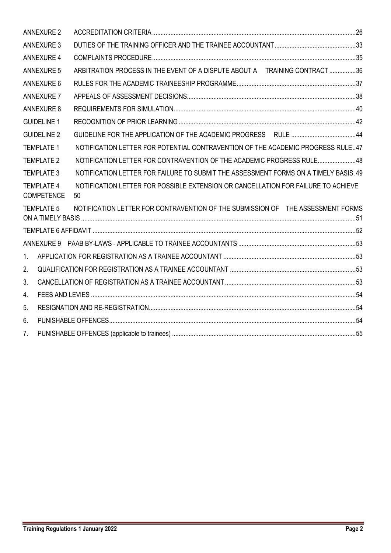|                | <b>ANNEXURE 2</b>                      |                                                                                         |  |
|----------------|----------------------------------------|-----------------------------------------------------------------------------------------|--|
|                | <b>ANNEXURE 3</b>                      |                                                                                         |  |
|                | <b>ANNEXURE 4</b>                      |                                                                                         |  |
|                | <b>ANNEXURE 5</b>                      | ARBITRATION PROCESS IN THE EVENT OF A DISPUTE ABOUT A TRAINING CONTRACT 36              |  |
|                | <b>ANNEXURE 6</b>                      |                                                                                         |  |
|                | <b>ANNEXURE 7</b>                      |                                                                                         |  |
|                | <b>ANNEXURE 8</b>                      |                                                                                         |  |
|                | <b>GUIDELINE 1</b>                     |                                                                                         |  |
|                | <b>GUIDELINE 2</b>                     |                                                                                         |  |
|                | <b>TEMPLATE 1</b>                      | NOTIFICATION LETTER FOR POTENTIAL CONTRAVENTION OF THE ACADEMIC PROGRESS RULE47         |  |
|                | <b>TEMPLATE 2</b>                      | NOTIFICATION LETTER FOR CONTRAVENTION OF THE ACADEMIC PROGRESS RULE48                   |  |
|                | <b>TEMPLATE 3</b>                      | NOTIFICATION LETTER FOR FAILURE TO SUBMIT THE ASSESSMENT FORMS ON A TIMELY BASIS.49     |  |
|                | <b>TEMPLATE 4</b><br><b>COMPETENCE</b> | NOTIFICATION LETTER FOR POSSIBLE EXTENSION OR CANCELLATION FOR FAILURE TO ACHIEVE<br>50 |  |
|                | <b>TEMPLATE 5</b>                      | NOTIFICATION LETTER FOR CONTRAVENTION OF THE SUBMISSION OF THE ASSESSMENT FORMS         |  |
|                |                                        |                                                                                         |  |
|                |                                        |                                                                                         |  |
| 1 <sub>1</sub> |                                        |                                                                                         |  |
| 2.             |                                        |                                                                                         |  |
| 3.             |                                        |                                                                                         |  |
| 4.             |                                        |                                                                                         |  |
| 5.             |                                        |                                                                                         |  |
| 6.             |                                        |                                                                                         |  |
| 7 <sub>1</sub> |                                        |                                                                                         |  |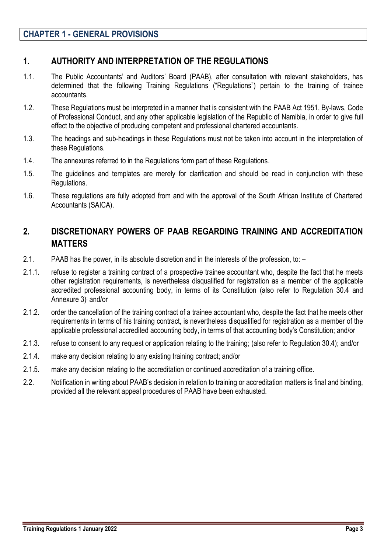### <span id="page-3-0"></span>**1. AUTHORITY AND INTERPRETATION OF THE REGULATIONS**

- 1.1. The Public Accountants' and Auditors' Board (PAAB), after consultation with relevant stakeholders, has determined that the following Training Regulations ("Regulations") pertain to the training of trainee accountants.
- 1.2. These Regulations must be interpreted in a manner that is consistent with the PAAB Act 1951, By-laws, Code of Professional Conduct, and any other applicable legislation of the Republic of Namibia, in order to give full effect to the objective of producing competent and professional chartered accountants.
- 1.3. The headings and sub-headings in these Regulations must not be taken into account in the interpretation of these Regulations.
- 1.4. The annexures referred to in the Regulations form part of these Regulations.
- 1.5. The guidelines and templates are merely for clarification and should be read in conjunction with these Regulations.
- 1.6. These regulations are fully adopted from and with the approval of the South African Institute of Chartered Accountants (SAICA).

# <span id="page-3-1"></span>**2. DISCRETIONARY POWERS OF PAAB REGARDING TRAINING AND ACCREDITATION MATTERS**

- 2.1. PAAB has the power, in its absolute discretion and in the interests of the profession, to: –
- 2.1.1. refuse to register a training contract of a prospective trainee accountant who, despite the fact that he meets other registration requirements, is nevertheless disqualified for registration as a member of the applicable accredited professional accounting body, in terms of its Constitution (also refer to Regulation 30.4 and Annexure 3) ; and/or
- 2.1.2. order the cancellation of the training contract of a trainee accountant who, despite the fact that he meets other requirements in terms of his training contract, is nevertheless disqualified for registration as a member of the applicable professional accredited accounting body, in terms of that accounting body's Constitution; and/or
- 2.1.3. refuse to consent to any request or application relating to the training; (also refer to Regulation 30.4); and/or
- 2.1.4. make any decision relating to any existing training contract; and/or
- 2.1.5. make any decision relating to the accreditation or continued accreditation of a training office.
- 2.2. Notification in writing about PAAB's decision in relation to training or accreditation matters is final and binding, provided all the relevant appeal procedures of PAAB have been exhausted.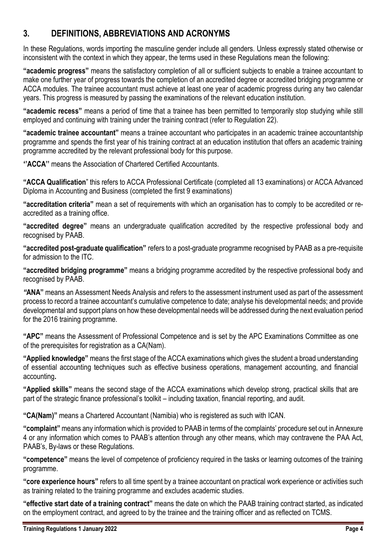# <span id="page-4-0"></span>**3. DEFINITIONS, ABBREVIATIONS AND ACRONYMS**

In these Regulations, words importing the masculine gender include all genders. Unless expressly stated otherwise or inconsistent with the context in which they appear, the terms used in these Regulations mean the following:

**"academic progress"** means the satisfactory completion of all or sufficient subjects to enable a trainee accountant to make one further year of progress towards the completion of an accredited degree or accredited bridging programme or ACCA modules. The trainee accountant must achieve at least one year of academic progress during any two calendar years. This progress is measured by passing the examinations of the relevant education institution.

**"academic recess"** means a period of time that a trainee has been permitted to temporarily stop studying while still employed and continuing with training under the training contract (refer to Regulation 22).

**"academic trainee accountant"** means a trainee accountant who participates in an academic trainee accountantship programme and spends the first year of his training contract at an education institution that offers an academic training programme accredited by the relevant professional body for this purpose.

**''ACCA''** means the Association of Chartered Certified Accountants.

**"ACCA Qualification**" this refers to ACCA Professional Certificate (completed all 13 examinations) or ACCA Advanced Diploma in Accounting and Business (completed the first 9 examinations)

**"accreditation criteria"** mean a set of requirements with which an organisation has to comply to be accredited or reaccredited as a training office.

**"accredited degree"** means an undergraduate qualification accredited by the respective professional body and recognised by PAAB.

**"accredited post-graduate qualification"** refers to a post-graduate programme recognised by PAAB as a pre-requisite for admission to the ITC.

**"accredited bridging programme"** means a bridging programme accredited by the respective professional body and recognised by PAAB.

*"***ANA"** means an Assessment Needs Analysis and refers to the assessment instrument used as part of the assessment process to record a trainee accountant's cumulative competence to date; analyse his developmental needs; and provide developmental and support plans on how these developmental needs will be addressed during the next evaluation period for the 2016 training programme.

**"APC"** means the Assessment of Professional Competence and is set by the APC Examinations Committee as one of the prerequisites for registration as a CA(Nam).

**"Applied knowledge"** means the first stage of the ACCA examinations which gives the student a broad understanding of essential accounting techniques such as effective business operations, management accounting, and financial accounting**.**

**"Applied skills"** means the second stage of the ACCA examinations which develop strong, practical skills that are part of the strategic finance professional's toolkit – including taxation, financial reporting, and audit.

**"CA(Nam)"** means a Chartered Accountant (Namibia) who is registered as such with ICAN.

**"complaint"** means any information which is provided to PAAB in terms of the complaints' procedure set out in Annexure 4 or any information which comes to PAAB's attention through any other means, which may contravene the PAA Act, PAAB's, By-laws or these Regulations.

**"competence"** means the level of competence of proficiency required in the tasks or learning outcomes of the training programme.

**"core experience hours"** refers to all time spent by a trainee accountant on practical work experience or activities such as training related to the training programme and excludes academic studies.

**"effective start date of a training contract"** means the date on which the PAAB training contract started, as indicated on the employment contract, and agreed to by the trainee and the training officer and as reflected on TCMS.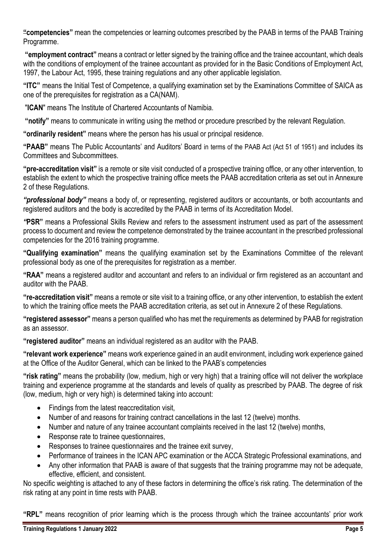**"competencies"** mean the competencies or learning outcomes prescribed by the PAAB in terms of the PAAB Training Programme.

**"employment contract"** means a contract or letter signed by the training office and the trainee accountant, which deals with the conditions of employment of the trainee accountant as provided for in the Basic Conditions of Employment Act, 1997, the Labour Act, 1995, these training regulations and any other applicable legislation.

**"ITC"** means the Initial Test of Competence, a qualifying examination set by the Examinations Committee of SAICA as one of the prerequisites for registration as a CA(NAM).

"**ICAN**" means The Institute of Chartered Accountants of Namibia.

**"notify"** means to communicate in writing using the method or procedure prescribed by the relevant Regulation.

**"ordinarily resident"** means where the person has his usual or principal residence.

**"PAAB"** means The Public Accountants' and Auditors' Board in terms of the PAAB Act (Act 51 of 1951) and includes its Committees and Subcommittees.

**"pre-accreditation visit"** is a remote or site visit conducted of a prospective training office, or any other intervention, to establish the extent to which the prospective training office meets the PAAB accreditation criteria as set out in Annexure 2 of these Regulations.

*"professional body"* means a body of, or representing, registered auditors or accountants, or both accountants and registered auditors and the body is accredited by the PAAB in terms of its Accreditation Model.

*"***PSR"** means a Professional Skills Review and refers to the assessment instrument used as part of the assessment process to document and review the competence demonstrated by the trainee accountant in the prescribed professional competencies for the 2016 training programme.

**"Qualifying examination"** means the qualifying examination set by the Examinations Committee of the relevant professional body as one of the prerequisites for registration as a member.

**"RAA"** means a registered auditor and accountant and refers to an individual or firm registered as an accountant and auditor with the PAAB.

**"re-accreditation visit"** means a remote or site visit to a training office, or any other intervention, to establish the extent to which the training office meets the PAAB accreditation criteria, as set out in Annexure 2 of these Regulations.

**"registered assessor"** means a person qualified who has met the requirements as determined by PAAB for registration as an assessor.

**"registered auditor"** means an individual registered as an auditor with the PAAB.

**"relevant work experience"** means work experience gained in an audit environment, including work experience gained at the Office of the Auditor General, which can be linked to the PAAB's competencies

**"risk rating"** means the probability (low, medium, high or very high) that a training office will not deliver the workplace training and experience programme at the standards and levels of quality as prescribed by PAAB. The degree of risk (low, medium, high or very high) is determined taking into account:

- Findings from the latest reaccreditation visit,
- Number of and reasons for training contract cancellations in the last 12 (twelve) months.
- Number and nature of any trainee accountant complaints received in the last 12 (twelve) months,
- Response rate to trainee questionnaires,
- Responses to trainee questionnaires and the trainee exit survey,
- Performance of trainees in the ICAN APC examination or the ACCA Strategic Professional examinations, and
- Any other information that PAAB is aware of that suggests that the training programme may not be adequate, effective, efficient, and consistent.

No specific weighting is attached to any of these factors in determining the office's risk rating. The determination of the risk rating at any point in time rests with PAAB.

**"RPL"** means recognition of prior learning which is the process through which the trainee accountants' prior work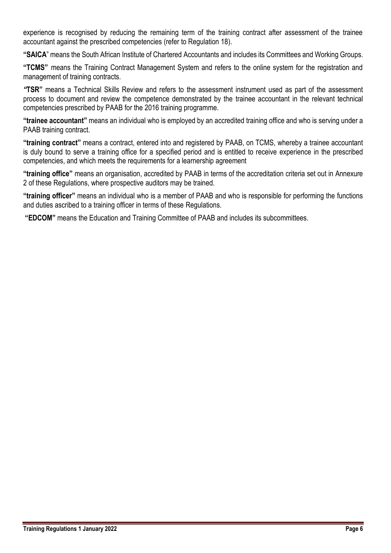experience is recognised by reducing the remaining term of the training contract after assessment of the trainee accountant against the prescribed competencies (refer to Regulation 18).

**"SAICA**" means the South African Institute of Chartered Accountants and includes its Committees and Working Groups.

**"TCMS"** means the Training Contract Management System and refers to the online system for the registration and management of training contracts.

*"***TSR"** means a Technical Skills Review and refers to the assessment instrument used as part of the assessment process to document and review the competence demonstrated by the trainee accountant in the relevant technical competencies prescribed by PAAB for the 2016 training programme.

**"trainee accountant"** means an individual who is employed by an accredited training office and who is serving under a PAAB training contract.

**"training contract"** means a contract, entered into and registered by PAAB, on TCMS, whereby a trainee accountant is duly bound to serve a training office for a specified period and is entitled to receive experience in the prescribed competencies, and which meets the requirements for a learnership agreement

**"training office"** means an organisation, accredited by PAAB in terms of the accreditation criteria set out in Annexure 2 of these Regulations, where prospective auditors may be trained.

**"training officer"** means an individual who is a member of PAAB and who is responsible for performing the functions and duties ascribed to a training officer in terms of these Regulations.

**"EDCOM"** means the Education and Training Committee of PAAB and includes its subcommittees.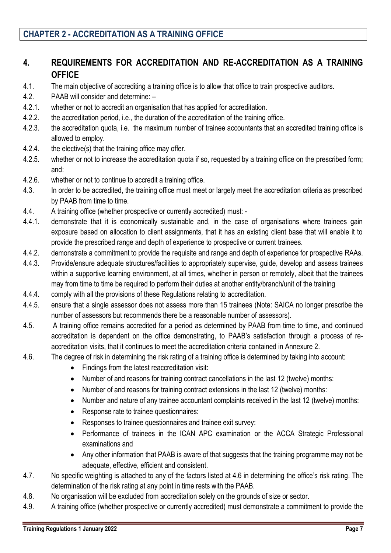# <span id="page-7-0"></span>**4. REQUIREMENTS FOR ACCREDITATION AND RE-ACCREDITATION AS A TRAINING OFFICE**

- 4.1. The main objective of accrediting a training office is to allow that office to train prospective auditors.
- 4.2. PAAB will consider and determine: –
- 4.2.1. whether or not to accredit an organisation that has applied for accreditation.
- 4.2.2. the accreditation period, i.e., the duration of the accreditation of the training office.
- 4.2.3. the accreditation quota, i.e. the maximum number of trainee accountants that an accredited training office is allowed to employ.
- 4.2.4. the elective(s) that the training office may offer.
- 4.2.5. whether or not to increase the accreditation quota if so, requested by a training office on the prescribed form; and:
- 4.2.6. whether or not to continue to accredit a training office.
- 4.3. In order to be accredited, the training office must meet or largely meet the accreditation criteria as prescribed by PAAB from time to time.
- 4.4. A training office (whether prospective or currently accredited) must: -
- 4.4.1. demonstrate that it is economically sustainable and, in the case of organisations where trainees gain exposure based on allocation to client assignments, that it has an existing client base that will enable it to provide the prescribed range and depth of experience to prospective or current trainees.
- 4.4.2. demonstrate a commitment to provide the requisite and range and depth of experience for prospective RAAs.
- 4.4.3. Provide/ensure adequate structures/facilities to appropriately supervise, guide, develop and assess trainees within a supportive learning environment, at all times, whether in person or remotely, albeit that the trainees may from time to time be required to perform their duties at another entity/branch/unit of the training
- 4.4.4. comply with all the provisions of these Regulations relating to accreditation.
- 4.4.5. ensure that a single assessor does not assess more than 15 trainees (Note: SAICA no longer prescribe the number of assessors but recommends there be a reasonable number of assessors).
- 4.5. A training office remains accredited for a period as determined by PAAB from time to time, and continued accreditation is dependent on the office demonstrating, to PAAB's satisfaction through a process of reaccreditation visits, that it continues to meet the accreditation criteria contained in Annexure 2.
- 4.6. The degree of risk in determining the risk rating of a training office is determined by taking into account:
	- Findings from the latest reaccreditation visit:
	- Number of and reasons for training contract cancellations in the last 12 (twelve) months:
	- Number of and reasons for training contract extensions in the last 12 (twelve) months:
	- Number and nature of any trainee accountant complaints received in the last 12 (twelve) months:
	- Response rate to trainee questionnaires:
	- Responses to trainee questionnaires and trainee exit survey:
	- Performance of trainees in the ICAN APC examination or the ACCA Strategic Professional examinations and
	- Any other information that PAAB is aware of that suggests that the training programme may not be adequate, effective, efficient and consistent.
- 4.7. No specific weighting is attached to any of the factors listed at 4.6 in determining the office's risk rating. The determination of the risk rating at any point in time rests with the PAAB.
- 4.8. No organisation will be excluded from accreditation solely on the grounds of size or sector.
- 4.9. A training office (whether prospective or currently accredited) must demonstrate a commitment to provide the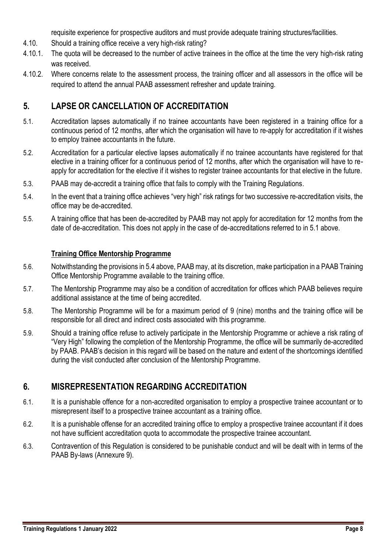requisite experience for prospective auditors and must provide adequate training structures/facilities.

- 4.10. Should a training office receive a very high-risk rating?
- 4.10.1. The quota will be decreased to the number of active trainees in the office at the time the very high-risk rating was received.
- 4.10.2. Where concerns relate to the assessment process, the training officer and all assessors in the office will be required to attend the annual PAAB assessment refresher and update training.

# <span id="page-8-0"></span>**5. LAPSE OR CANCELLATION OF ACCREDITATION**

- 5.1. Accreditation lapses automatically if no trainee accountants have been registered in a training office for a continuous period of 12 months, after which the organisation will have to re-apply for accreditation if it wishes to employ trainee accountants in the future.
- 5.2. Accreditation for a particular elective lapses automatically if no trainee accountants have registered for that elective in a training officer for a continuous period of 12 months, after which the organisation will have to reapply for accreditation for the elective if it wishes to register trainee accountants for that elective in the future.
- 5.3. PAAB may de-accredit a training office that fails to comply with the Training Regulations.
- 5.4. In the event that a training office achieves "very high" risk ratings for two successive re-accreditation visits, the office may be de-accredited.
- 5.5. A training office that has been de-accredited by PAAB may not apply for accreditation for 12 months from the date of de-accreditation. This does not apply in the case of de-accreditations referred to in 5.1 above.

### **Training Office Mentorship Programme**

- 5.6. Notwithstanding the provisions in 5.4 above, PAAB may, at its discretion, make participation in a PAAB Training Office Mentorship Programme available to the training office.
- 5.7. The Mentorship Programme may also be a condition of accreditation for offices which PAAB believes require additional assistance at the time of being accredited.
- 5.8. The Mentorship Programme will be for a maximum period of 9 (nine) months and the training office will be responsible for all direct and indirect costs associated with this programme.
- 5.9. Should a training office refuse to actively participate in the Mentorship Programme or achieve a risk rating of "Very High" following the completion of the Mentorship Programme, the office will be summarily de-accredited by PAAB. PAAB's decision in this regard will be based on the nature and extent of the shortcomings identified during the visit conducted after conclusion of the Mentorship Programme.

# <span id="page-8-1"></span>**6. MISREPRESENTATION REGARDING ACCREDITATION**

- 6.1. It is a punishable offence for a non-accredited organisation to employ a prospective trainee accountant or to misrepresent itself to a prospective trainee accountant as a training office.
- 6.2. It is a punishable offense for an accredited training office to employ a prospective trainee accountant if it does not have sufficient accreditation quota to accommodate the prospective trainee accountant.
- 6.3. Contravention of this Regulation is considered to be punishable conduct and will be dealt with in terms of the PAAB By-laws (Annexure 9).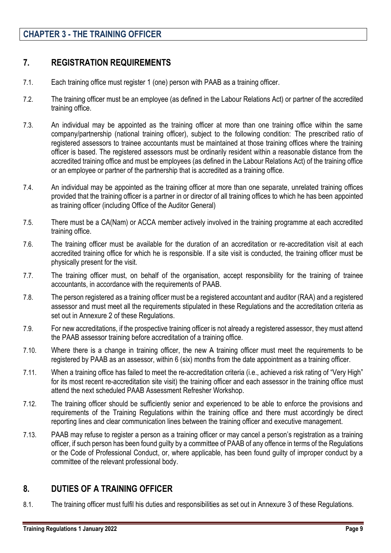# **CHAPTER 3 - THE TRAINING OFFICER**

### <span id="page-9-0"></span>**7. REGISTRATION REQUIREMENTS**

- 7.1. Each training office must register 1 (one) person with PAAB as a training officer.
- 7.2. The training officer must be an employee (as defined in the Labour Relations Act) or partner of the accredited training office.
- 7.3. An individual may be appointed as the training officer at more than one training office within the same company/partnership (national training officer), subject to the following condition: The prescribed ratio of registered assessors to trainee accountants must be maintained at those training offices where the training officer is based. The registered assessors must be ordinarily resident within a reasonable distance from the accredited training office and must be employees (as defined in the Labour Relations Act) of the training office or an employee or partner of the partnership that is accredited as a training office.
- 7.4. An individual may be appointed as the training officer at more than one separate, unrelated training offices provided that the training officer is a partner in or director of all training offices to which he has been appointed as training officer (including Office of the Auditor General)
- 7.5. There must be a CA(Nam) or ACCA member actively involved in the training programme at each accredited training office.
- 7.6. The training officer must be available for the duration of an accreditation or re-accreditation visit at each accredited training office for which he is responsible. If a site visit is conducted, the training officer must be physically present for the visit.
- 7.7. The training officer must, on behalf of the organisation, accept responsibility for the training of trainee accountants, in accordance with the requirements of PAAB.
- 7.8. The person registered as a training officer must be a registered accountant and auditor (RAA) and a registered assessor and must meet all the requirements stipulated in these Regulations and the accreditation criteria as set out in Annexure 2 of these Regulations.
- 7.9. For new accreditations, if the prospective training officer is not already a registered assessor, they must attend the PAAB assessor training before accreditation of a training office.
- 7.10. Where there is a change in training officer, the new A training officer must meet the requirements to be registered by PAAB as an assessor, within 6 (six) months from the date appointment as a training officer.
- 7.11. When a training office has failed to meet the re-accreditation criteria (i.e., achieved a risk rating of "Very High" for its most recent re-accreditation site visit) the training officer and each assessor in the training office must attend the next scheduled PAAB Assessment Refresher Workshop.
- 7.12. The training officer should be sufficiently senior and experienced to be able to enforce the provisions and requirements of the Training Regulations within the training office and there must accordingly be direct reporting lines and clear communication lines between the training officer and executive management.
- 7.13. PAAB may refuse to register a person as a training officer or may cancel a person's registration as a training officer, if such person has been found guilty by a committee of PAAB of any offence in terms of the Regulations or the Code of Professional Conduct, or, where applicable, has been found guilty of improper conduct by a committee of the relevant professional body.

### <span id="page-9-1"></span>**8. DUTIES OF A TRAINING OFFICER**

8.1. The training officer must fulfil his duties and responsibilities as set out in Annexure 3 of these Regulations.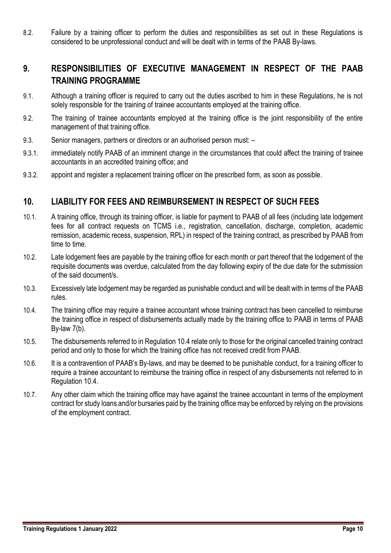8.2. Failure by a training officer to perform the duties and responsibilities as set out in these Regulations is considered to be unprofessional conduct and will be dealt with in terms of the PAAB By-laws.

# <span id="page-10-0"></span>**9. RESPONSIBILITIES OF EXECUTIVE MANAGEMENT IN RESPECT OF THE PAAB TRAINING PROGRAMME**

- 9.1. Although a training officer is required to carry out the duties ascribed to him in these Regulations, he is not solely responsible for the training of trainee accountants employed at the training office.
- 9.2. The training of trainee accountants employed at the training office is the joint responsibility of the entire management of that training office.
- 9.3. Senior managers, partners or directors or an authorised person must: –
- 9.3.1. immediately notify PAAB of an imminent change in the circumstances that could affect the training of trainee accountants in an accredited training office; and
- 9.3.2. appoint and register a replacement training officer on the prescribed form, as soon as possible.

### <span id="page-10-1"></span>**10. LIABILITY FOR FEES AND REIMBURSEMENT IN RESPECT OF SUCH FEES**

- 10.1. A training office, through its training officer, is liable for payment to PAAB of all fees (including late lodgement fees for all contract requests on TCMS i.e., registration, cancellation, discharge, completion, academic remission, academic recess, suspension, RPL) in respect of the training contract, as prescribed by PAAB from time to time.
- 10.2. Late lodgement fees are payable by the training office for each month or part thereof that the lodgement of the requisite documents was overdue, calculated from the day following expiry of the due date for the submission of the said document/s.
- 10.3. Excessively late lodgement may be regarded as punishable conduct and will be dealt with in terms of the PAAB rules.
- 10.4. The training office may require a trainee accountant whose training contract has been cancelled to reimburse the training office in respect of disbursements actually made by the training office to PAAB in terms of PAAB By-law 7(b).
- 10.5. The disbursements referred to in Regulation 10.4 relate only to those for the original cancelled training contract period and only to those for which the training office has not received credit from PAAB.
- 10.6. It is a contravention of PAAB's By-laws, and may be deemed to be punishable conduct, for a training officer to require a trainee accountant to reimburse the training office in respect of any disbursements not referred to in Regulation 10.4.
- 10.7. Any other claim which the training office may have against the trainee accountant in terms of the employment contract for study loans and/or bursaries paid by the training office may be enforced by relying on the provisions of the employment contract.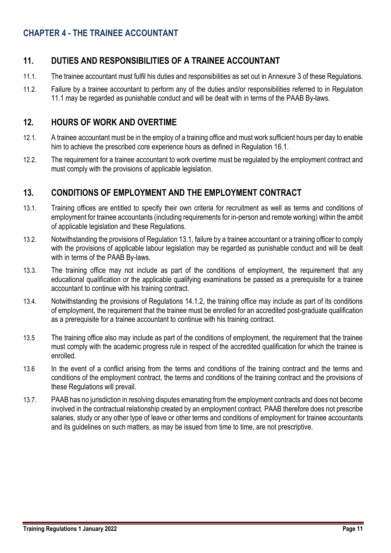# **CHAPTER 4 - THE TRAINEE ACCOUNTANT**

# <span id="page-11-0"></span>**11. DUTIES AND RESPONSIBILITIES OF A TRAINEE ACCOUNTANT**

- 11.1. The trainee accountant must fulfil his duties and responsibilities as set out in Annexure 3 of these Regulations.
- 11.2. Failure by a trainee accountant to perform any of the duties and/or responsibilities referred to in Regulation 11.1 may be regarded as punishable conduct and will be dealt with in terms of the PAAB By-laws.

### <span id="page-11-1"></span>**12. HOURS OF WORK AND OVERTIME**

- 12.1. A trainee accountant must be in the employ of a training office and must work sufficient hours per day to enable him to achieve the prescribed core experience hours as defined in Regulation 16.1.
- 12.2. The requirement for a trainee accountant to work overtime must be regulated by the employment contract and must comply with the provisions of applicable legislation.

## <span id="page-11-2"></span>**13. CONDITIONS OF EMPLOYMENT AND THE EMPLOYMENT CONTRACT**

- 13.1. Training offices are entitled to specify their own criteria for recruitment as well as terms and conditions of employment for trainee accountants (including requirements for in-person and remote working) within the ambit of applicable legislation and these Regulations.
- 13.2. Notwithstanding the provisions of Regulation 13.1, failure by a trainee accountant or a training officer to comply with the provisions of applicable labour legislation may be regarded as punishable conduct and will be dealt with in terms of the PAAB By-laws.
- 13.3. The training office may not include as part of the conditions of employment, the requirement that any educational qualification or the applicable qualifying examinations be passed as a prerequisite for a trainee accountant to continue with his training contract.
- 13.4. Notwithstanding the provisions of Regulations 14.1.2, the training office may include as part of its conditions of employment, the requirement that the trainee must be enrolled for an accredited post-graduate qualification as a prerequisite for a trainee accountant to continue with his training contract.
- 13.5 The training office also may include as part of the conditions of employment, the requirement that the trainee must comply with the academic progress rule in respect of the accredited qualification for which the trainee is enrolled.
- 13.6 In the event of a conflict arising from the terms and conditions of the training contract and the terms and conditions of the employment contract, the terms and conditions of the training contract and the provisions of these Regulations will prevail.
- 13.7. PAAB has no jurisdiction in resolving disputes emanating from the employment contracts and does not become involved in the contractual relationship created by an employment contract. PAAB therefore does not prescribe salaries, study or any other type of leave or other terms and conditions of employment for trainee accountants and its guidelines on such matters, as may be issued from time to time, are not prescriptive.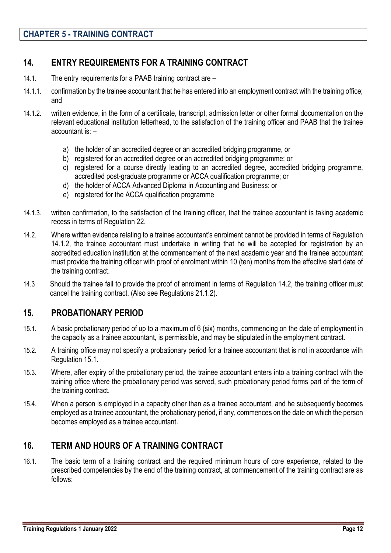# <span id="page-12-0"></span>**14. ENTRY REQUIREMENTS FOR A TRAINING CONTRACT**

- 14.1. The entry requirements for a PAAB training contract are –
- 14.1.1. confirmation by the trainee accountant that he has entered into an employment contract with the training office; and
- 14.1.2. written evidence, in the form of a certificate, transcript, admission letter or other formal documentation on the relevant educational institution letterhead, to the satisfaction of the training officer and PAAB that the trainee accountant is: –
	- a) the holder of an accredited degree or an accredited bridging programme, or
	- b) registered for an accredited degree or an accredited bridging programme; or
	- c) registered for a course directly leading to an accredited degree, accredited bridging programme, accredited post-graduate programme or ACCA qualification programme; or
	- d) the holder of ACCA Advanced Diploma in Accounting and Business: or
	- e) registered for the ACCA qualification programme
- 14.1.3. written confirmation, to the satisfaction of the training officer, that the trainee accountant is taking academic recess in terms of Regulation 22.
- 14.2. Where written evidence relating to a trainee accountant's enrolment cannot be provided in terms of Regulation 14.1.2, the trainee accountant must undertake in writing that he will be accepted for registration by an accredited education institution at the commencement of the next academic year and the trainee accountant must provide the training officer with proof of enrolment within 10 (ten) months from the effective start date of the training contract.
- 14.3 Should the trainee fail to provide the proof of enrolment in terms of Regulation 14.2, the training officer must cancel the training contract. (Also see Regulations 21.1.2).

### <span id="page-12-1"></span>**15. PROBATIONARY PERIOD**

- 15.1. A basic probationary period of up to a maximum of 6 (six) months, commencing on the date of employment in the capacity as a trainee accountant, is permissible, and may be stipulated in the employment contract.
- 15.2. A training office may not specify a probationary period for a trainee accountant that is not in accordance with Regulation 15.1.
- 15.3. Where, after expiry of the probationary period, the trainee accountant enters into a training contract with the training office where the probationary period was served, such probationary period forms part of the term of the training contract.
- 15.4. When a person is employed in a capacity other than as a trainee accountant, and he subsequently becomes employed as a trainee accountant, the probationary period, if any, commences on the date on which the person becomes employed as a trainee accountant.

# <span id="page-12-2"></span>**16. TERM AND HOURS OF A TRAINING CONTRACT**

16.1. The basic term of a training contract and the required minimum hours of core experience, related to the prescribed competencies by the end of the training contract, at commencement of the training contract are as follows: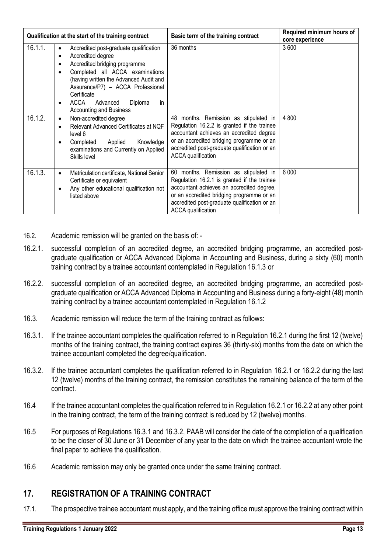| Qualification at the start of the training contract |                                                                                                                                                                                                                                                                                                                                                                      | Basic term of the training contract                                                                                                                                                                                                                         | Required minimum hours of<br>core experience |
|-----------------------------------------------------|----------------------------------------------------------------------------------------------------------------------------------------------------------------------------------------------------------------------------------------------------------------------------------------------------------------------------------------------------------------------|-------------------------------------------------------------------------------------------------------------------------------------------------------------------------------------------------------------------------------------------------------------|----------------------------------------------|
| 16.1.1.                                             | Accredited post-graduate qualification<br>$\bullet$<br>Accredited degree<br>$\bullet$<br>Accredited bridging programme<br>$\bullet$<br>Completed all ACCA examinations<br>$\bullet$<br>(having written the Advanced Audit and<br>Assurance/P7) - ACCA Professional<br>Certificate<br>ACCA<br>Advanced<br>Diploma<br><i>in</i><br>٠<br><b>Accounting and Business</b> | 36 months                                                                                                                                                                                                                                                   | 3600                                         |
| 16.1.2.                                             | Non-accredited degree<br>$\bullet$<br>Relevant Advanced Certificates at NQF<br>$\bullet$<br>level 6<br>Applied<br>Knowledge<br>Completed<br>$\bullet$<br>examinations and Currently on Applied<br>Skills level                                                                                                                                                       | 48 months. Remission as stipulated in<br>Regulation 16.2.2 is granted if the trainee<br>accountant achieves an accredited degree<br>or an accredited bridging programme or an<br>accredited post-graduate qualification or an<br><b>ACCA</b> qualification  | 4 800                                        |
| 16.1.3.                                             | Matriculation certificate, National Senior<br>$\bullet$<br>Certificate or equivalent<br>Any other educational qualification not<br>٠<br>listed above                                                                                                                                                                                                                 | 60 months. Remission as stipulated in<br>Regulation 16.2.1 is granted if the trainee<br>accountant achieves an accredited degree,<br>or an accredited bridging programme or an<br>accredited post-graduate qualification or an<br><b>ACCA</b> qualification | 6 0 0 0                                      |

- 16.2. Academic remission will be granted on the basis of: -
- 16.2.1. successful completion of an accredited degree, an accredited bridging programme, an accredited postgraduate qualification or ACCA Advanced Diploma in Accounting and Business, during a sixty (60) month training contract by a trainee accountant contemplated in Regulation 16.1.3 or
- 16.2.2. successful completion of an accredited degree, an accredited bridging programme, an accredited postgraduate qualification or ACCA Advanced Diploma in Accounting and Business during a forty-eight (48) month training contract by a trainee accountant contemplated in Regulation 16.1.2
- 16.3. Academic remission will reduce the term of the training contract as follows:
- 16.3.1. If the trainee accountant completes the qualification referred to in Regulation 16.2.1 during the first 12 (twelve) months of the training contract, the training contract expires 36 (thirty-six) months from the date on which the trainee accountant completed the degree/qualification.
- 16.3.2. If the trainee accountant completes the qualification referred to in Regulation 16.2.1 or 16.2.2 during the last 12 (twelve) months of the training contract, the remission constitutes the remaining balance of the term of the contract.
- 16.4 If the trainee accountant completes the qualification referred to in Regulation 16.2.1 or 16.2.2 at any other point in the training contract, the term of the training contract is reduced by 12 (twelve) months.
- 16.5 For purposes of Regulations 16.3.1 and 16.3.2, PAAB will consider the date of the completion of a qualification to be the closer of 30 June or 31 December of any year to the date on which the trainee accountant wrote the final paper to achieve the qualification.
- 16.6 Academic remission may only be granted once under the same training contract.

### <span id="page-13-0"></span>**17. REGISTRATION OF A TRAINING CONTRACT**

17.1. The prospective trainee accountant must apply, and the training office must approve the training contract within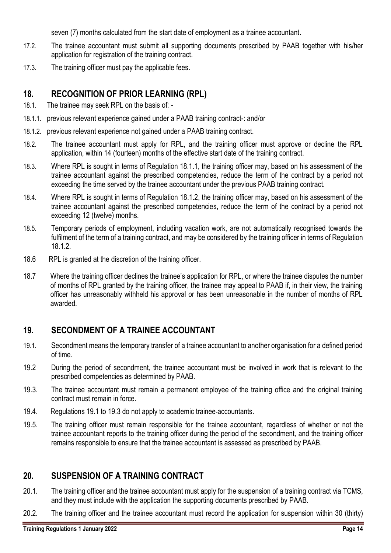seven (7) months calculated from the start date of employment as a trainee accountant.

- 17.2. The trainee accountant must submit all supporting documents prescribed by PAAB together with his/her application for registration of the training contract.
- 17.3. The training officer must pay the applicable fees.

## <span id="page-14-0"></span>**18. RECOGNITION OF PRIOR LEARNING (RPL)**

- 18.1. The trainee may seek RPL on the basis of: -
- 18.1.1. previous relevant experience gained under a PAAB training contract-: and/or
- 18.1.2. previous relevant experience not gained under a PAAB training contract.
- 18.2. The trainee accountant must apply for RPL, and the training officer must approve or decline the RPL application, within 14 (fourteen) months of the effective start date of the training contract.
- 18.3. Where RPL is sought in terms of Regulation 18.1.1, the training officer may, based on his assessment of the trainee accountant against the prescribed competencies, reduce the term of the contract by a period not exceeding the time served by the trainee accountant under the previous PAAB training contract.
- 18.4. Where RPL is sought in terms of Regulation 18.1.2, the training officer may, based on his assessment of the trainee accountant against the prescribed competencies, reduce the term of the contract by a period not exceeding 12 (twelve) months.
- 18.5. Temporary periods of employment, including vacation work, are not automatically recognised towards the fulfilment of the term of a training contract, and may be considered by the training officer in terms of Regulation 18.1.2.
- 18.6 RPL is granted at the discretion of the training officer.
- 18.7 Where the training officer declines the trainee's application for RPL, or where the trainee disputes the number of months of RPL granted by the training officer, the trainee may appeal to PAAB if, in their view, the training officer has unreasonably withheld his approval or has been unreasonable in the number of months of RPL awarded.

# <span id="page-14-1"></span>**19. SECONDMENT OF A TRAINEE ACCOUNTANT**

- 19.1. Secondment means the temporary transfer of a trainee accountant to another organisation for a defined period of time.
- 19.2 During the period of secondment, the trainee accountant must be involved in work that is relevant to the prescribed competencies as determined by PAAB.
- 19.3. The trainee accountant must remain a permanent employee of the training office and the original training contract must remain in force.
- 19.4. Regulations 19.1 to 19.3 do not apply to academic trainee accountants.
- 19.5. The training officer must remain responsible for the trainee accountant, regardless of whether or not the trainee accountant reports to the training officer during the period of the secondment, and the training officer remains responsible to ensure that the trainee accountant is assessed as prescribed by PAAB.

### <span id="page-14-2"></span>**20. SUSPENSION OF A TRAINING CONTRACT**

- 20.1. The training officer and the trainee accountant must apply for the suspension of a training contract via TCMS, and they must include with the application the supporting documents prescribed by PAAB.
- 20.2. The training officer and the trainee accountant must record the application for suspension within 30 (thirty)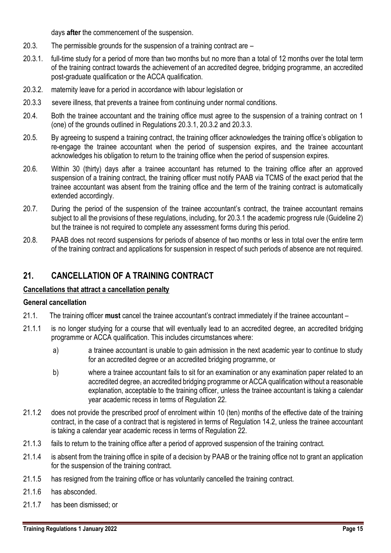days **after** the commencement of the suspension.

- 20.3. The permissible grounds for the suspension of a training contract are –
- 20.3.1. full-time study for a period of more than two months but no more than a total of 12 months over the total term of the training contract towards the achievement of an accredited degree, bridging programme, an accredited post-graduate qualification or the ACCA qualification.
- 20.3.2. maternity leave for a period in accordance with labour legislation or
- 20.3.3 severe illness, that prevents a trainee from continuing under normal conditions.
- 20.4. Both the trainee accountant and the training office must agree to the suspension of a training contract on 1 (one) of the grounds outlined in Regulations 20.3.1, 20.3.2 and 20.3.3.
- 20.5. By agreeing to suspend a training contract, the training officer acknowledges the training office's obligation to re-engage the trainee accountant when the period of suspension expires, and the trainee accountant acknowledges his obligation to return to the training office when the period of suspension expires.
- 20.6. Within 30 (thirty) days after a trainee accountant has returned to the training office after an approved suspension of a training contract, the training officer must notify PAAB via TCMS of the exact period that the trainee accountant was absent from the training office and the term of the training contract is automatically extended accordingly.
- 20.7. During the period of the suspension of the trainee accountant's contract, the trainee accountant remains subject to all the provisions of these regulations, including, for 20.3.1 the academic progress rule (Guideline 2) but the trainee is not required to complete any assessment forms during this period.
- 20.8. PAAB does not record suspensions for periods of absence of two months or less in total over the entire term of the training contract and applications for suspension in respect of such periods of absence are not required.

### <span id="page-15-0"></span>**21. CANCELLATION OF A TRAINING CONTRACT**

### **Cancellations that attract a cancellation penalty**

#### **General cancellation**

- 21.1. The training officer **must** cancel the trainee accountant's contract immediately if the trainee accountant –
- 21.1.1 is no longer studying for a course that will eventually lead to an accredited degree, an accredited bridging programme or ACCA qualification. This includes circumstances where:
	- a) a trainee accountant is unable to gain admission in the next academic year to continue to study for an accredited degree or an accredited bridging programme, or
	- b) where a trainee accountant fails to sit for an examination or any examination paper related to an accredited degree, an accredited bridging programme or ACCA qualification without a reasonable explanation, acceptable to the training officer, unless the trainee accountant is taking a calendar year academic recess in terms of Regulation 22.
- 21.1.2 does not provide the prescribed proof of enrolment within 10 (ten) months of the effective date of the training contract, in the case of a contract that is registered in terms of Regulation 14.2, unless the trainee accountant is taking a calendar year academic recess in terms of Regulation 22.
- 21.1.3 fails to return to the training office after a period of approved suspension of the training contract.
- 21.1.4 is absent from the training office in spite of a decision by PAAB or the training office not to grant an application for the suspension of the training contract.
- 21.1.5 has resigned from the training office or has voluntarily cancelled the training contract.
- 21.1.6 has absconded.
- 21.1.7 has been dismissed; or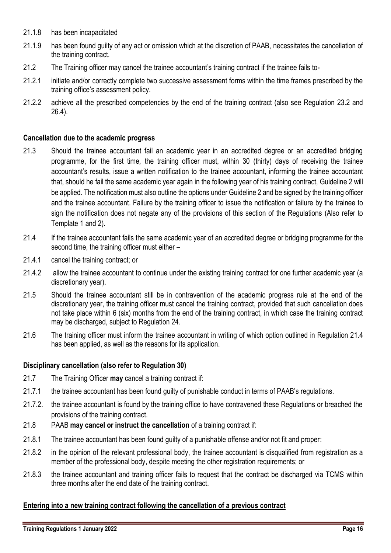- 21.1.8 has been incapacitated
- 21.1.9 has been found guilty of any act or omission which at the discretion of PAAB, necessitates the cancellation of the training contract.
- 21.2 The Training officer may cancel the trainee accountant's training contract if the trainee fails to-
- 21.2.1 initiate and/or correctly complete two successive assessment forms within the time frames prescribed by the training office's assessment policy.
- 21.2.2 achieve all the prescribed competencies by the end of the training contract (also see Regulation 23.2 and 26.4).

#### **Cancellation due to the academic progress**

- 21.3 Should the trainee accountant fail an academic year in an accredited degree or an accredited bridging programme, for the first time*,* the training officer must, within 30 (thirty) days of receiving the trainee accountant's results, issue a written notification to the trainee accountant, informing the trainee accountant that, should he fail the same academic year again in the following year of his training contract, Guideline 2 will be applied. The notification must also outline the options under Guideline 2 and be signed by the training officer and the trainee accountant. Failure by the training officer to issue the notification or failure by the trainee to sign the notification does not negate any of the provisions of this section of the Regulations (Also refer to Template 1 and 2).
- 21.4 If the trainee accountant fails the same academic year of an accredited degree or bridging programme for the second time, the training officer must either –
- 21.4.1 cancel the training contract; or
- 21.4.2 allow the trainee accountant to continue under the existing training contract for one further academic year (a discretionary year).
- 21.5 Should the trainee accountant still be in contravention of the academic progress rule at the end of the discretionary year, the training officer must cancel the training contract, provided that such cancellation does not take place within 6 (six) months from the end of the training contract, in which case the training contract may be discharged, subject to Regulation 24.
- 21.6 The training officer must inform the trainee accountant in writing of which option outlined in Regulation 21.4 has been applied, as well as the reasons for its application.

#### **Disciplinary cancellation (also refer to Regulation 30)**

- 21.7 The Training Officer **may** cancel a training contract if:
- 21.7.1 the trainee accountant has been found guilty of punishable conduct in terms of PAAB's regulations.
- 21.7.2. the trainee accountant is found by the training office to have contravened these Regulations or breached the provisions of the training contract.
- 21.8 PAAB **may cancel or instruct the cancellation** of a training contract if:
- 21.8.1 The trainee accountant has been found guilty of a punishable offense and/or not fit and proper:
- 21.8.2 in the opinion of the relevant professional body, the trainee accountant is disqualified from registration as a member of the professional body, despite meeting the other registration requirements; or
- 21.8.3 the trainee accountant and training officer fails to request that the contract be discharged via TCMS within three months after the end date of the training contract.

### **Entering into a new training contract following the cancellation of a previous contract**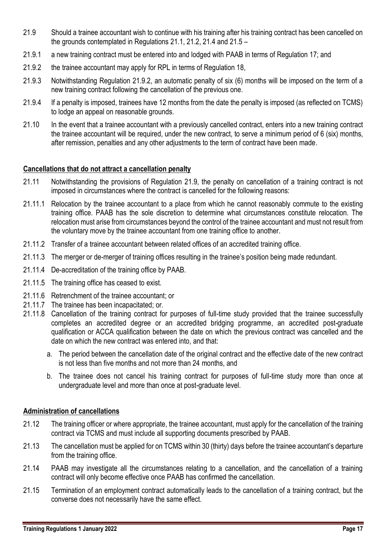- 21.9 Should a trainee accountant wish to continue with his training after his training contract has been cancelled on the grounds contemplated in Regulations 21.1, 21.2, 21.4 and 21.5 –
- 21.9.1 a new training contract must be entered into and lodged with PAAB in terms of Regulation 17; and
- 21.9.2 the trainee accountant may apply for RPL in terms of Regulation 18,
- 21.9.3 Notwithstanding Regulation 21.9.2, an automatic penalty of six (6) months will be imposed on the term of a new training contract following the cancellation of the previous one.
- 21.9.4 If a penalty is imposed, trainees have 12 months from the date the penalty is imposed (as reflected on TCMS) to lodge an appeal on reasonable grounds.
- 21.10 In the event that a trainee accountant with a previously cancelled contract, enters into a new training contract the trainee accountant will be required, under the new contract, to serve a minimum period of 6 (six) months, after remission, penalties and any other adjustments to the term of contract have been made.

#### **Cancellations that do not attract a cancellation penalty**

- 21.11 Notwithstanding the provisions of Regulation 21.9, the penalty on cancellation of a training contract is not imposed in circumstances where the contract is cancelled for the following reasons:
- 21.11.1 Relocation by the trainee accountant to a place from which he cannot reasonably commute to the existing training office. PAAB has the sole discretion to determine what circumstances constitute relocation. The relocation must arise from circumstances beyond the control of the trainee accountant and must not result from the voluntary move by the trainee accountant from one training office to another.
- 21.11.2 Transfer of a trainee accountant between related offices of an accredited training office.
- 21.11.3 The merger or de-merger of training offices resulting in the trainee's position being made redundant.
- 21.11.4 De-accreditation of the training office by PAAB.
- 21.11.5 The training office has ceased to exist.
- 21.11.6 Retrenchment of the trainee accountant; or
- 21.11.7 The trainee has been incapacitated; or.
- 21.11.8 Cancellation of the training contract for purposes of full-time study provided that the trainee successfully completes an accredited degree or an accredited bridging programme, an accredited post-graduate qualification or ACCA qualification between the date on which the previous contract was cancelled and the date on which the new contract was entered into, and that:
	- a. The period between the cancellation date of the original contract and the effective date of the new contract is not less than five months and not more than 24 months, and
	- b. The trainee does not cancel his training contract for purposes of full-time study more than once at undergraduate level and more than once at post-graduate level.

#### **Administration of cancellations**

- 21.12 The training officer or where appropriate, the trainee accountant, must apply for the cancellation of the training contract via TCMS and must include all supporting documents prescribed by PAAB.
- 21.13 The cancellation must be applied for on TCMS within 30 (thirty) days before the trainee accountant's departure from the training office.
- 21.14 PAAB may investigate all the circumstances relating to a cancellation, and the cancellation of a training contract will only become effective once PAAB has confirmed the cancellation.
- 21.15 Termination of an employment contract automatically leads to the cancellation of a training contract, but the converse does not necessarily have the same effect.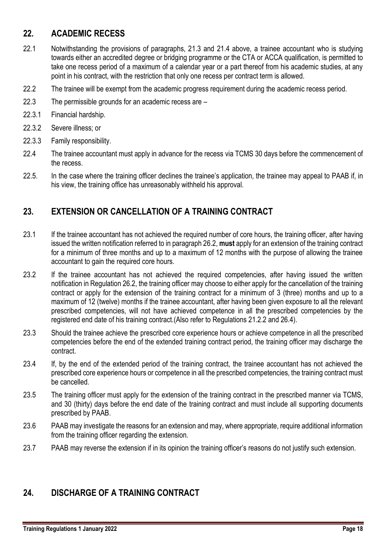# <span id="page-18-0"></span>**22. ACADEMIC RECESS**

- 22.1 Notwithstanding the provisions of paragraphs, 21.3 and 21.4 above, a trainee accountant who is studying towards either an accredited degree or bridging programme or the CTA or ACCA qualification, is permitted to take one recess period of a maximum of a calendar year or a part thereof from his academic studies, at any point in his contract, with the restriction that only one recess per contract term is allowed.
- 22.2 The trainee will be exempt from the academic progress requirement during the academic recess period.
- 22.3 The permissible grounds for an academic recess are –
- 22.3.1 Financial hardship.
- 22.3.2 Severe illness; or
- 22.3.3 Family responsibility.
- 22.4 The trainee accountant must apply in advance for the recess via TCMS 30 days before the commencement of the recess.
- 22.5. In the case where the training officer declines the trainee's application, the trainee may appeal to PAAB if, in his view, the training office has unreasonably withheld his approval.

## <span id="page-18-1"></span>**23. EXTENSION OR CANCELLATION OF A TRAINING CONTRACT**

- 23.1 If the trainee accountant has not achieved the required number of core hours, the training officer, after having issued the written notification referred to in paragraph 26.2, **must** apply for an extension of the training contract for a minimum of three months and up to a maximum of 12 months with the purpose of allowing the trainee accountant to gain the required core hours.
- 23.2 If the trainee accountant has not achieved the required competencies, after having issued the written notification in Regulation 26.2, the training officer may choose to either apply for the cancellation of the training contract or apply for the extension of the training contract for a minimum of 3 (three) months and up to a maximum of 12 (twelve) months if the trainee accountant, after having been given exposure to all the relevant prescribed competencies, will not have achieved competence in all the prescribed competencies by the registered end date of his training contract.(Also refer to Regulations 21.2.2 and 26.4).
- 23.3 Should the trainee achieve the prescribed core experience hours or achieve competence in all the prescribed competencies before the end of the extended training contract period, the training officer may discharge the contract.
- 23.4 If, by the end of the extended period of the training contract, the trainee accountant has not achieved the prescribed core experience hours or competence in all the prescribed competencies, the training contract must be cancelled.
- 23.5 The training officer must apply for the extension of the training contract in the prescribed manner via TCMS, and 30 (thirty) days before the end date of the training contract and must include all supporting documents prescribed by PAAB.
- 23.6 PAAB may investigate the reasons for an extension and may, where appropriate, require additional information from the training officer regarding the extension.
- 23.7 PAAB may reverse the extension if in its opinion the training officer's reasons do not justify such extension.

### <span id="page-18-2"></span>**24. DISCHARGE OF A TRAINING CONTRACT**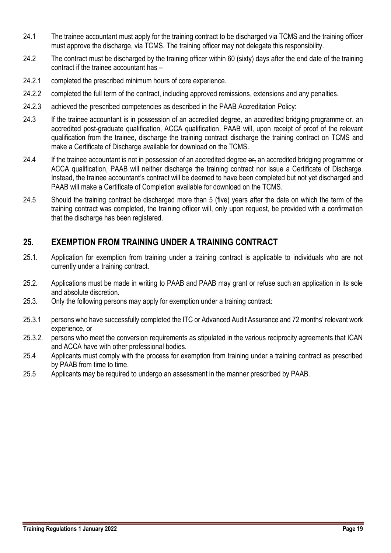- 24.1 The trainee accountant must apply for the training contract to be discharged via TCMS and the training officer must approve the discharge, via TCMS. The training officer may not delegate this responsibility.
- 24.2 The contract must be discharged by the training officer within 60 (sixty) days after the end date of the training contract if the trainee accountant has –
- 24.2.1 completed the prescribed minimum hours of core experience.
- 24.2.2 completed the full term of the contract, including approved remissions, extensions and any penalties.
- 24.2.3 achieved the prescribed competencies as described in the PAAB Accreditation Policy:
- 24.3 If the trainee accountant is in possession of an accredited degree, an accredited bridging programme or, an accredited post-graduate qualification, ACCA qualification, PAAB will, upon receipt of proof of the relevant qualification from the trainee, discharge the training contract discharge the training contract on TCMS and make a Certificate of Discharge available for download on the TCMS.
- 24.4 If the trainee accountant is not in possession of an accredited degree  $\theta$  an accredited bridging programme or ACCA qualification, PAAB will neither discharge the training contract nor issue a Certificate of Discharge. Instead, the trainee accountant's contract will be deemed to have been completed but not yet discharged and PAAB will make a Certificate of Completion available for download on the TCMS.
- 24.5 Should the training contract be discharged more than 5 (five) years after the date on which the term of the training contract was completed, the training officer will, only upon request, be provided with a confirmation that the discharge has been registered.

# <span id="page-19-0"></span>**25. EXEMPTION FROM TRAINING UNDER A TRAINING CONTRACT**

- 25.1. Application for exemption from training under a training contract is applicable to individuals who are not currently under a training contract.
- 25.2. Applications must be made in writing to PAAB and PAAB may grant or refuse such an application in its sole and absolute discretion.
- 25.3. Only the following persons may apply for exemption under a training contract:
- 25.3.1 persons who have successfully completed the ITC or Advanced Audit Assurance and 72 months' relevant work experience, or
- 25.3.2. persons who meet the conversion requirements as stipulated in the various reciprocity agreements that ICAN and ACCA have with other professional bodies.
- 25.4 Applicants must comply with the process for exemption from training under a training contract as prescribed by PAAB from time to time.
- 25.5 Applicants may be required to undergo an assessment in the manner prescribed by PAAB.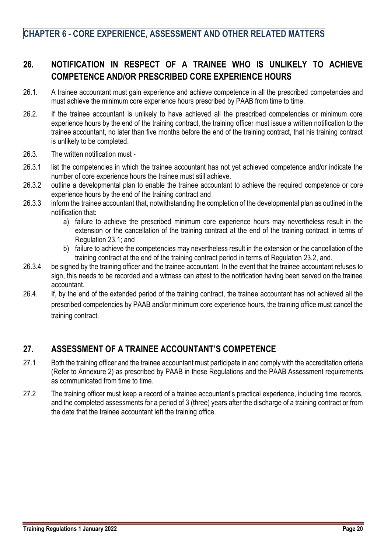# <span id="page-20-0"></span>**26. NOTIFICATION IN RESPECT OF A TRAINEE WHO IS UNLIKELY TO ACHIEVE COMPETENCE AND/OR PRESCRIBED CORE EXPERIENCE HOURS**

- 26.1. A trainee accountant must gain experience and achieve competence in all the prescribed competencies and must achieve the minimum core experience hours prescribed by PAAB from time to time.
- 26.2. If the trainee accountant is unlikely to have achieved all the prescribed competencies or minimum core experience hours by the end of the training contract, the training officer must issue a written notification to the trainee accountant, no later than five months before the end of the training contract, that his training contract is unlikely to be completed.
- 26.3. The written notification must -
- 26.3.1 list the competencies in which the trainee accountant has not yet achieved competence and/or indicate the number of core experience hours the trainee must still achieve.
- 26.3.2 outline a developmental plan to enable the trainee accountant to achieve the required competence or core experience hours by the end of the training contract and
- 26.3.3 inform the trainee accountant that, notwithstanding the completion of the developmental plan as outlined in the notification that:
	- a) failure to achieve the prescribed minimum core experience hours may nevertheless result in the extension or the cancellation of the training contract at the end of the training contract in terms of Regulation 23.1; and
	- b) failure to achieve the competencies may nevertheless result in the extension or the cancellation of the training contract at the end of the training contract period in terms of Regulation 23.2, and.
- 26.3.4 be signed by the training officer and the trainee accountant. In the event that the trainee accountant refuses to sign, this needs to be recorded and a witness can attest to the notification having been served on the trainee accountant.
- 26.4. If, by the end of the extended period of the training contract, the trainee accountant has not achieved all the prescribed competencies by PAAB and/or minimum core experience hours, the training office must cancel the training contract.

# <span id="page-20-1"></span>**27. ASSESSMENT OF A TRAINEE ACCOUNTANT'S COMPETENCE**

- 27.1 Both the training officer and the trainee accountant must participate in and comply with the accreditation criteria (Refer to Annexure 2) as prescribed by PAAB in these Regulations and the PAAB Assessment requirements as communicated from time to time.
- 27.2 The training officer must keep a record of a trainee accountant's practical experience, including time records, and the completed assessments for a period of 3 (three) years after the discharge of a training contract or from the date that the trainee accountant left the training office.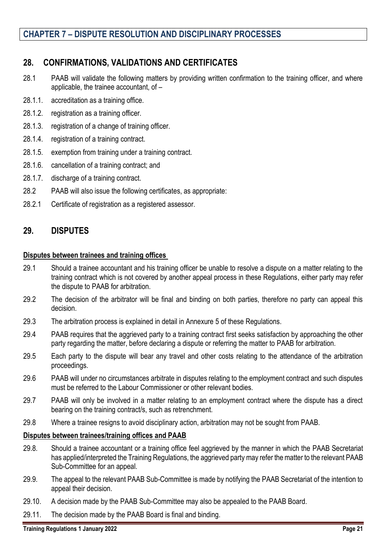# **CHAPTER 7 – DISPUTE RESOLUTION AND DISCIPLINARY PROCESSES**

### <span id="page-21-0"></span>**28. CONFIRMATIONS, VALIDATIONS AND CERTIFICATES**

- 28.1 PAAB will validate the following matters by providing written confirmation to the training officer, and where applicable, the trainee accountant, of –
- 28.1.1. accreditation as a training office.
- 28.1.2. registration as a training officer.
- 28.1.3. registration of a change of training officer.
- 28.1.4. registration of a training contract.
- 28.1.5. exemption from training under a training contract.
- 28.1.6. cancellation of a training contract; and
- 28.1.7. discharge of a training contract.
- 28.2 PAAB will also issue the following certificates, as appropriate:
- 28.2.1 Certificate of registration as a registered assessor.

### <span id="page-21-1"></span>**29. DISPUTES**

#### **Disputes between trainees and training offices**

- 29.1 Should a trainee accountant and his training officer be unable to resolve a dispute on a matter relating to the training contract which is not covered by another appeal process in these Regulations, either party may refer the dispute to PAAB for arbitration.
- 29.2 The decision of the arbitrator will be final and binding on both parties, therefore no party can appeal this decision.
- 29.3 The arbitration process is explained in detail in Annexure 5 of these Regulations.
- 29.4 PAAB requires that the aggrieved party to a training contract first seeks satisfaction by approaching the other party regarding the matter, before declaring a dispute or referring the matter to PAAB for arbitration.
- 29.5 Each party to the dispute will bear any travel and other costs relating to the attendance of the arbitration proceedings.
- 29.6 PAAB will under no circumstances arbitrate in disputes relating to the employment contract and such disputes must be referred to the Labour Commissioner or other relevant bodies.
- 29.7 PAAB will only be involved in a matter relating to an employment contract where the dispute has a direct bearing on the training contract/s, such as retrenchment.
- 29.8 Where a trainee resigns to avoid disciplinary action, arbitration may not be sought from PAAB.

### **Disputes between trainees/training offices and PAAB**

- 29.8. Should a trainee accountant or a training office feel aggrieved by the manner in which the PAAB Secretariat has applied/interpreted the Training Regulations, the aggrieved party may refer the matter to the relevant PAAB Sub-Committee for an appeal.
- 29.9. The appeal to the relevant PAAB Sub-Committee is made by notifying the PAAB Secretariat of the intention to appeal their decision.
- 29.10. A decision made by the PAAB Sub-Committee may also be appealed to the PAAB Board.
- 29.11. The decision made by the PAAB Board is final and binding.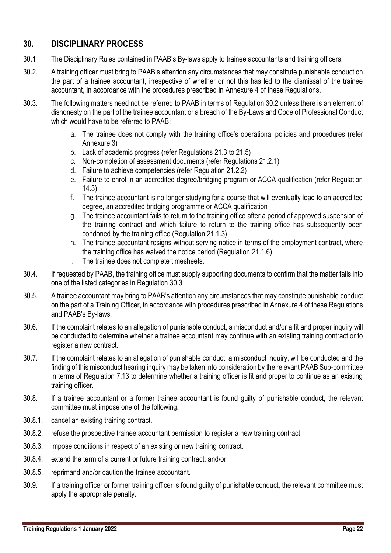# <span id="page-22-0"></span>**30. DISCIPLINARY PROCESS**

- 30.1 The Disciplinary Rules contained in PAAB's By-laws apply to trainee accountants and training officers.
- 30.2. A training officer must bring to PAAB's attention any circumstances that may constitute punishable conduct on the part of a trainee accountant, irrespective of whether or not this has led to the dismissal of the trainee accountant, in accordance with the procedures prescribed in Annexure 4 of these Regulations.
- 30.3. The following matters need not be referred to PAAB in terms of Regulation 30.2 unless there is an element of dishonesty on the part of the trainee accountant or a breach of the By-Laws and Code of Professional Conduct which would have to be referred to PAAB:
	- a. The trainee does not comply with the training office's operational policies and procedures (refer Annexure 3)
	- b. Lack of academic progress (refer Regulations 21.3 to 21.5)
	- c. Non-completion of assessment documents (refer Regulations 21.2.1)
	- d. Failure to achieve competencies (refer Regulation 21.2.2)
	- e. Failure to enrol in an accredited degree/bridging program or ACCA qualification (refer Regulation 14.3)
	- f. The trainee accountant is no longer studying for a course that will eventually lead to an accredited degree, an accredited bridging programme or ACCA qualification
	- g. The trainee accountant fails to return to the training office after a period of approved suspension of the training contract and which failure to return to the training office has subsequently been condoned by the training office (Regulation 21.1.3)
	- h. The trainee accountant resigns without serving notice in terms of the employment contract, where the training office has waived the notice period (Regulation 21.1.6)
	- i. The trainee does not complete timesheets.
- 30.4. If requested by PAAB, the training office must supply supporting documents to confirm that the matter falls into one of the listed categories in Regulation 30.3
- 30.5. A trainee accountant may bring to PAAB's attention any circumstances that may constitute punishable conduct on the part of a Training Officer, in accordance with procedures prescribed in Annexure 4 of these Regulations and PAAB's By-laws.
- 30.6. If the complaint relates to an allegation of punishable conduct, a misconduct and/or a fit and proper inquiry will be conducted to determine whether a trainee accountant may continue with an existing training contract or to register a new contract.
- 30.7. If the complaint relates to an allegation of punishable conduct, a misconduct inquiry, will be conducted and the finding of this misconduct hearing inquiry may be taken into consideration by the relevant PAAB Sub-committee in terms of Regulation 7.13 to determine whether a training officer is fit and proper to continue as an existing training officer.
- 30.8. If a trainee accountant or a former trainee accountant is found guilty of punishable conduct, the relevant committee must impose one of the following:
- 30.8.1. cancel an existing training contract.
- 30.8.2. refuse the prospective trainee accountant permission to register a new training contract.
- 30.8.3. impose conditions in respect of an existing or new training contract.
- 30.8.4. extend the term of a current or future training contract; and/or
- 30.8.5. reprimand and/or caution the trainee accountant.
- 30.9. If a training officer or former training officer is found guilty of punishable conduct, the relevant committee must apply the appropriate penalty.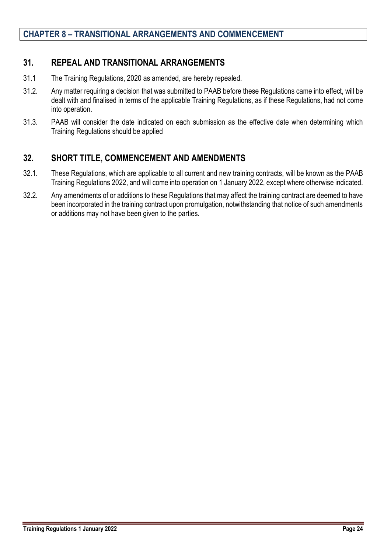### <span id="page-24-0"></span>**31. REPEAL AND TRANSITIONAL ARRANGEMENTS**

- 31.1 The Training Regulations, 2020 as amended, are hereby repealed.
- 31.2. Any matter requiring a decision that was submitted to PAAB before these Regulations came into effect, will be dealt with and finalised in terms of the applicable Training Regulations, as if these Regulations, had not come into operation.
- 31.3. PAAB will consider the date indicated on each submission as the effective date when determining which Training Regulations should be applied

# <span id="page-24-1"></span>**32. SHORT TITLE, COMMENCEMENT AND AMENDMENTS**

- 32.1. These Regulations, which are applicable to all current and new training contracts, will be known as the PAAB Training Regulations 2022, and will come into operation on 1 January 2022, except where otherwise indicated.
- 32.2. Any amendments of or additions to these Regulations that may affect the training contract are deemed to have been incorporated in the training contract upon promulgation, notwithstanding that notice of such amendments or additions may not have been given to the parties.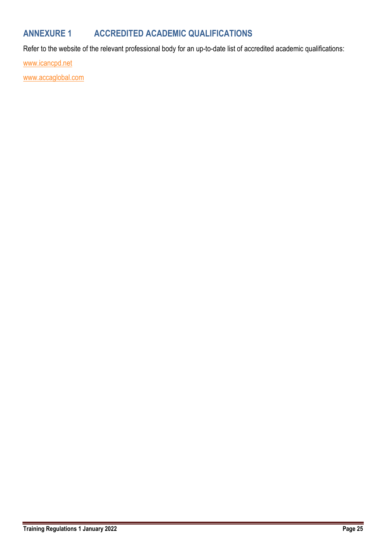# <span id="page-25-0"></span>**ANNEXURE 1 ACCREDITED ACADEMIC QUALIFICATIONS**

Refer to the website of the relevant professional body for an up-to-date list of accredited academic qualifications:

[www.icancpd.net](http://www.icancpd.net/)

[www.accaglobal.com](http://www.accaglobal.com/)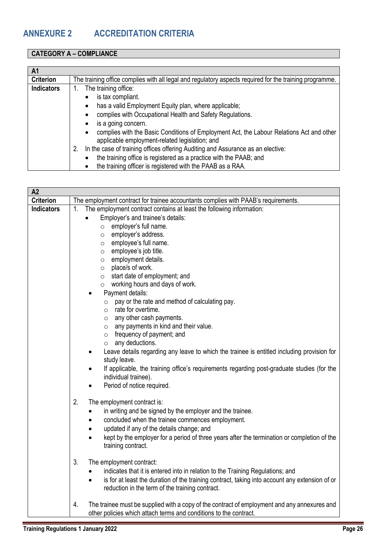### <span id="page-26-0"></span>**CATEGORY A – COMPLIANCE**

| A1                |                                                                                                         |
|-------------------|---------------------------------------------------------------------------------------------------------|
| <b>Criterion</b>  | The training office complies with all legal and regulatory aspects required for the training programme. |
| <b>Indicators</b> | The training office:                                                                                    |
|                   | is tax compliant.                                                                                       |
|                   | has a valid Employment Equity plan, where applicable;                                                   |
|                   | complies with Occupational Health and Safety Regulations.                                               |
|                   | is a going concern.                                                                                     |
|                   | complies with the Basic Conditions of Employment Act, the Labour Relations Act and other<br>٠           |
|                   | applicable employment-related legislation; and                                                          |
|                   | In the case of training offices offering Auditing and Assurance as an elective:<br>2.                   |
|                   | the training office is registered as a practice with the PAAB; and                                      |
|                   | the training officer is registered with the PAAB as a RAA.                                              |

| A2                |                                                                                                                                                                                                                                                                                                                                                                                                                                                                                                                                                                |
|-------------------|----------------------------------------------------------------------------------------------------------------------------------------------------------------------------------------------------------------------------------------------------------------------------------------------------------------------------------------------------------------------------------------------------------------------------------------------------------------------------------------------------------------------------------------------------------------|
| <b>Criterion</b>  | The employment contract for trainee accountants complies with PAAB's requirements.                                                                                                                                                                                                                                                                                                                                                                                                                                                                             |
| <b>Indicators</b> | 1.<br>The employment contract contains at least the following information:<br>Employer's and trainee's details:<br>employer's full name.<br>$\circ$<br>employer's address.<br>$\circ$<br>employee's full name.<br>$\circ$<br>employee's job title.<br>$\circ$<br>employment details.<br>$\circ$<br>place/s of work.<br>$\circ$<br>start date of employment; and<br>$\circ$<br>$\circ$ working hours and days of work.                                                                                                                                          |
|                   | Payment details:<br>pay or the rate and method of calculating pay.<br>$\circ$<br>rate for overtime.<br>$\circ$<br>any other cash payments.<br>$\circ$<br>any payments in kind and their value.<br>$\circ$<br>frequency of payment; and<br>$\circ$<br>any deductions.<br>$\circ$<br>Leave details regarding any leave to which the trainee is entitled including provision for<br>study leave.<br>If applicable, the training office's requirements regarding post-graduate studies (for the<br>individual trainee).<br>Period of notice required.<br>$\bullet$ |
|                   | 2.<br>The employment contract is:<br>in writing and be signed by the employer and the trainee.<br>concluded when the trainee commences employment.<br>$\bullet$<br>updated if any of the details change; and<br>٠<br>kept by the employer for a period of three years after the termination or completion of the<br>training contract.                                                                                                                                                                                                                         |
|                   | 3.<br>The employment contract:<br>indicates that it is entered into in relation to the Training Regulations; and<br>$\bullet$<br>is for at least the duration of the training contract, taking into account any extension of or<br>$\bullet$<br>reduction in the term of the training contract.                                                                                                                                                                                                                                                                |
|                   | The trainee must be supplied with a copy of the contract of employment and any annexures and<br>4.<br>other policies which attach terms and conditions to the contract.                                                                                                                                                                                                                                                                                                                                                                                        |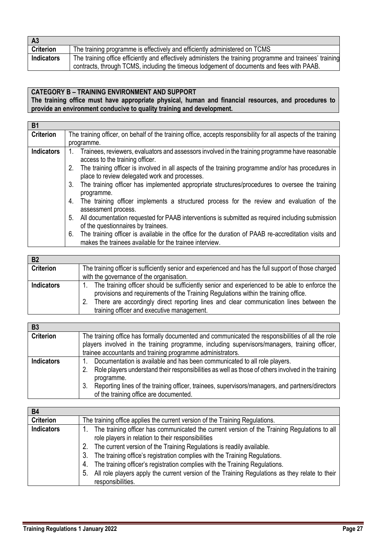| <b>A3</b>         |                                                                                                           |
|-------------------|-----------------------------------------------------------------------------------------------------------|
| <b>Criterion</b>  | The training programme is effectively and efficiently administered on TCMS                                |
| <b>Indicators</b> | The training office efficiently and effectively administers the training programme and trainees' training |
|                   | contracts, through TCMS, including the timeous lodgement of documents and fees with PAAB.                 |

# **CATEGORY B – TRAINING ENVIRONMENT AND SUPPORT**

**The training office must have appropriate physical, human and financial resources, and procedures to provide an environment conducive to quality training and development.**

| <b>B1</b>         |                                                                                                                                                                       |
|-------------------|-----------------------------------------------------------------------------------------------------------------------------------------------------------------------|
| <b>Criterion</b>  | The training officer, on behalf of the training office, accepts responsibility for all aspects of the training                                                        |
|                   | programme.                                                                                                                                                            |
| <b>Indicators</b> | Trainees, reviewers, evaluators and assessors involved in the training programme have reasonable<br>access to the training officer.                                   |
|                   | The training officer is involved in all aspects of the training programme and/or has procedures in<br>2.<br>place to review delegated work and processes.             |
|                   | The training officer has implemented appropriate structures/procedures to oversee the training<br>3.<br>programme.                                                    |
|                   | The training officer implements a structured process for the review and evaluation of the<br>4.<br>assessment process.                                                |
|                   | All documentation requested for PAAB interventions is submitted as required including submission<br>5.<br>of the questionnaires by trainees.                          |
|                   | The training officer is available in the office for the duration of PAAB re-accreditation visits and<br>6.<br>makes the trainees available for the trainee interview. |

| <b>B2</b>         |                                                                                                                                                                                                                                                                                                                             |
|-------------------|-----------------------------------------------------------------------------------------------------------------------------------------------------------------------------------------------------------------------------------------------------------------------------------------------------------------------------|
| <b>Criterion</b>  | The training officer is sufficiently senior and experienced and has the full support of those charged                                                                                                                                                                                                                       |
|                   | with the governance of the organisation.                                                                                                                                                                                                                                                                                    |
| <b>Indicators</b> | The training officer should be sufficiently senior and experienced to be able to enforce the<br>provisions and requirements of the Training Regulations within the training office.<br>There are accordingly direct reporting lines and clear communication lines between the<br>training officer and executive management. |

| <b>B3</b>         |                                                                                                                                                               |  |  |
|-------------------|---------------------------------------------------------------------------------------------------------------------------------------------------------------|--|--|
| <b>Criterion</b>  | The training office has formally documented and communicated the responsibilities of all the role                                                             |  |  |
|                   | players involved in the training programme, including supervisors/managers, training officer,                                                                 |  |  |
|                   | trainee accountants and training programme administrators.                                                                                                    |  |  |
| <b>Indicators</b> | Documentation is available and has been communicated to all role players.                                                                                     |  |  |
|                   | Role players understand their responsibilities as well as those of others involved in the training                                                            |  |  |
|                   | programme.<br>Reporting lines of the training officer, trainees, supervisors/managers, and partners/directors<br>3.<br>of the training office are documented. |  |  |

| <b>B4</b>         |                                                                                                                                                                                                                                                                                                                                                                                                                                                                                                                              |
|-------------------|------------------------------------------------------------------------------------------------------------------------------------------------------------------------------------------------------------------------------------------------------------------------------------------------------------------------------------------------------------------------------------------------------------------------------------------------------------------------------------------------------------------------------|
| <b>Criterion</b>  | The training office applies the current version of the Training Regulations.                                                                                                                                                                                                                                                                                                                                                                                                                                                 |
| <b>Indicators</b> | The training officer has communicated the current version of the Training Regulations to all<br>role players in relation to their responsibilities<br>The current version of the Training Regulations is readily available.<br>The training office's registration complies with the Training Regulations.<br>The training officer's registration complies with the Training Regulations.<br>4.<br>All role players apply the current version of the Training Regulations as they relate to their<br>. ს<br>responsibilities. |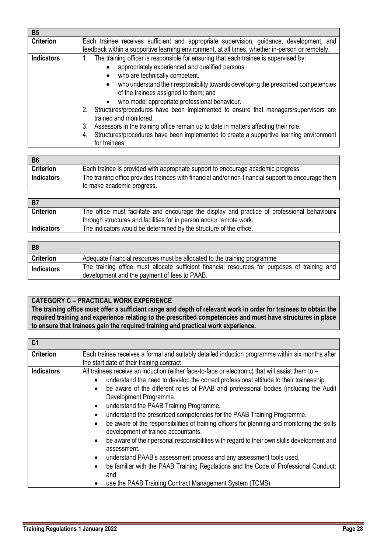| <b>B5</b>         |                                                                                                                                                                                                                                                                                                                                                                                                                                                                                                                                                                                                                                                                                                                                                           |
|-------------------|-----------------------------------------------------------------------------------------------------------------------------------------------------------------------------------------------------------------------------------------------------------------------------------------------------------------------------------------------------------------------------------------------------------------------------------------------------------------------------------------------------------------------------------------------------------------------------------------------------------------------------------------------------------------------------------------------------------------------------------------------------------|
| <b>Criterion</b>  | Each trainee receives sufficient and appropriate supervision, guidance, development, and<br>feedback within a supportive learning environment, at all times, whether in-person or remotely.                                                                                                                                                                                                                                                                                                                                                                                                                                                                                                                                                               |
| <b>Indicators</b> | The training officer is responsible for ensuring that each trainee is supervised by:<br>1.<br>appropriately experienced and qualified persons.<br>$\bullet$<br>who are technically competent.<br>$\bullet$<br>who understand their responsibility towards developing the prescribed competencies<br>$\bullet$<br>of the trainees assigned to them; and<br>who model appropriate professional behaviour.<br>$\bullet$<br>Structures/procedures have been implemented to ensure that managers/supervisors are<br>2.<br>trained and monitored.<br>Assessors in the training office remain up to date in matters affecting their role.<br>3.<br>Structures/procedures have been implemented to create a supportive learning environment<br>4.<br>for trainees |

| <b>B6</b>         |                                                                                                     |
|-------------------|-----------------------------------------------------------------------------------------------------|
| <b>Criterion</b>  | Each trainee is provided with appropriate support to encourage academic progress                    |
| <b>Indicators</b> | The training office provides trainees with financial and/or non-financial support to encourage them |
|                   | to make academic progress.                                                                          |

| B7                |                                                                                                                                                                     |
|-------------------|---------------------------------------------------------------------------------------------------------------------------------------------------------------------|
| <b>Criterion</b>  | The office must facilitate and encourage the display and practice of professional behaviours<br>through structures and facilities for in person and/or remote work. |
| <b>Indicators</b> | The indicators would be determined by the structure of the office.                                                                                                  |

| B8                |                                                                                                                                               |
|-------------------|-----------------------------------------------------------------------------------------------------------------------------------------------|
| <b>Criterion</b>  | Adequate financial resources must be allocated to the training programme                                                                      |
| <b>Indicators</b> | The training office must allocate sufficient financial resources for purposes of training and<br>development and the payment of fees to PAAB. |

### **CATEGORY C – PRACTICAL WORK EXPERIENCE**

**The training office must offer a sufficient range and depth of relevant work in order for trainees to obtain the required training and experience relating to the prescribed competencies and must have structures in place to ensure that trainees gain the required training and practical work experience.**

| C <sub>1</sub>    |                                                                                                                                                                                                                                                                                                                                                                                                                                                                                                                                                                                                                                                                                                                                                                                                                                                                                                                                                                                                         |
|-------------------|---------------------------------------------------------------------------------------------------------------------------------------------------------------------------------------------------------------------------------------------------------------------------------------------------------------------------------------------------------------------------------------------------------------------------------------------------------------------------------------------------------------------------------------------------------------------------------------------------------------------------------------------------------------------------------------------------------------------------------------------------------------------------------------------------------------------------------------------------------------------------------------------------------------------------------------------------------------------------------------------------------|
| <b>Criterion</b>  | Each trainee receives a formal and suitably detailed induction programme within six months after<br>the start date of their training contract                                                                                                                                                                                                                                                                                                                                                                                                                                                                                                                                                                                                                                                                                                                                                                                                                                                           |
| <b>Indicators</b> | All trainees receive an induction (either face-to-face or electronic) that will assist them to -<br>understand the need to develop the correct professional attitude to their traineeship.<br>be aware of the different roles of PAAB and professional bodies (including the Audit<br>$\bullet$<br>Development Programme.<br>understand the PAAB Training Programme.<br>$\bullet$<br>understand the prescribed competencies for the PAAB Training Programme.<br>$\bullet$<br>be aware of the responsibilities of training officers for planning and monitoring the skills<br>$\bullet$<br>development of trainee accountants.<br>be aware of their personal responsibilities with regard to their own skills development and<br>$\bullet$<br>assessment.<br>understand PAAB's assessment process and any assessment tools used.<br>be familiar with the PAAB Training Regulations and the Code of Professional Conduct;<br>$\bullet$<br>and<br>use the PAAB Training Contract Management System (TCMS). |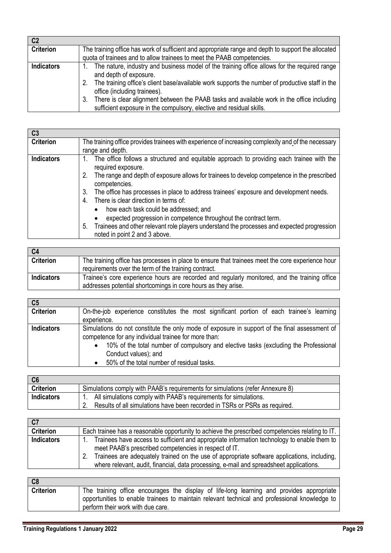| C <sub>2</sub>    |                                                                                                       |
|-------------------|-------------------------------------------------------------------------------------------------------|
| <b>Criterion</b>  | The training office has work of sufficient and appropriate range and depth to support the allocated   |
|                   | quota of trainees and to allow trainees to meet the PAAB competencies.                                |
| <b>Indicators</b> | The nature, industry and business model of the training office allows for the required range          |
|                   | and depth of exposure.                                                                                |
|                   | The training office's client base/available work supports the number of productive staff in the<br>2. |
|                   | office (including trainees).                                                                          |
|                   | There is clear alignment between the PAAB tasks and available work in the office including<br>3.      |
|                   | sufficient exposure in the compulsory, elective and residual skills.                                  |

| C3                |                                                                                                                                            |  |  |  |
|-------------------|--------------------------------------------------------------------------------------------------------------------------------------------|--|--|--|
| <b>Criterion</b>  | The training office provides trainees with experience of increasing complexity and of the necessary                                        |  |  |  |
|                   | range and depth.                                                                                                                           |  |  |  |
| <b>Indicators</b> | The office follows a structured and equitable approach to providing each trainee with the<br>required exposure.                            |  |  |  |
|                   | The range and depth of exposure allows for trainees to develop competence in the prescribed<br>competencies.                               |  |  |  |
|                   | The office has processes in place to address trainees' exposure and development needs.<br>3.<br>There is clear direction in terms of:<br>4 |  |  |  |
|                   | how each task could be addressed; and<br>$\bullet$                                                                                         |  |  |  |
|                   | expected progression in competence throughout the contract term.                                                                           |  |  |  |
|                   | Trainees and other relevant role players understand the processes and expected progression<br>5.                                           |  |  |  |
|                   | noted in point 2 and 3 above.                                                                                                              |  |  |  |

| C4                |                                                                                                                                                                |
|-------------------|----------------------------------------------------------------------------------------------------------------------------------------------------------------|
| <b>Criterion</b>  | The training office has processes in place to ensure that trainees meet the core experience hour<br>requirements over the term of the training contract.       |
| <b>Indicators</b> | Trainee's core experience hours are recorded and regularly monitored, and the training office<br>addresses potential shortcomings in core hours as they arise. |

| C <sub>5</sub>    |                                                                                                   |
|-------------------|---------------------------------------------------------------------------------------------------|
| <b>Criterion</b>  | On-the-job experience constitutes the most significant portion of each trainee's learning         |
|                   | experience.                                                                                       |
| <b>Indicators</b> | Simulations do not constitute the only mode of exposure in support of the final assessment of     |
|                   | competence for any individual trainee for more than:                                              |
|                   | 10% of the total number of compulsory and elective tasks (excluding the Professional<br>$\bullet$ |
|                   | Conduct values); and                                                                              |
|                   | 50% of the total number of residual tasks.                                                        |

| $\overline{C6}$   |                                                                                |
|-------------------|--------------------------------------------------------------------------------|
| <b>Criterion</b>  | Simulations comply with PAAB's requirements for simulations (refer Annexure 8) |
| <b>Indicators</b> | All simulations comply with PAAB's requirements for simulations.               |
|                   | Results of all simulations have been recorded in TSRs or PSRs as required.     |
|                   |                                                                                |

| C <sub>7</sub>    |                                                                                                                                                                                                                                                                                                                                                |
|-------------------|------------------------------------------------------------------------------------------------------------------------------------------------------------------------------------------------------------------------------------------------------------------------------------------------------------------------------------------------|
| <b>Criterion</b>  | Each trainee has a reasonable opportunity to achieve the prescribed competencies relating to IT.                                                                                                                                                                                                                                               |
| <b>Indicators</b> | Trainees have access to sufficient and appropriate information technology to enable them to<br>meet PAAB's prescribed competencies in respect of IT.<br>Trainees are adequately trained on the use of appropriate software applications, including,<br>where relevant, audit, financial, data processing, e-mail and spreadsheet applications. |

| C8               |                                                                                               |
|------------------|-----------------------------------------------------------------------------------------------|
| <b>Criterion</b> | The training office encourages the display of life-long learning and provides appropriate     |
|                  | opportunities to enable trainees to maintain relevant technical and professional knowledge to |
|                  | perform their work with due care.                                                             |
|                  |                                                                                               |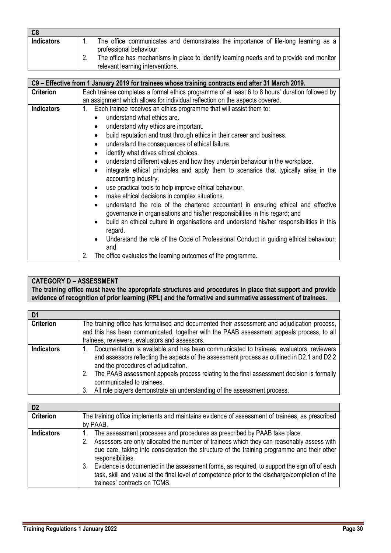| C8                |                                                                                                                              |
|-------------------|------------------------------------------------------------------------------------------------------------------------------|
| <b>Indicators</b> | The office communicates and demonstrates the importance of life-long learning as a<br>professional behaviour.                |
|                   | The office has mechanisms in place to identify learning needs and to provide and monitor<br>relevant learning interventions. |

|                   | C9 - Effective from 1 January 2019 for trainees whose training contracts end after 31 March 2019.                                                                              |
|-------------------|--------------------------------------------------------------------------------------------------------------------------------------------------------------------------------|
| <b>Criterion</b>  | Each trainee completes a formal ethics programme of at least 6 to 8 hours' duration followed by                                                                                |
|                   | an assignment which allows for individual reflection on the aspects covered.                                                                                                   |
| <b>Indicators</b> | Each trainee receives an ethics programme that will assist them to:<br>$1_{\cdot}$                                                                                             |
|                   | understand what ethics are.                                                                                                                                                    |
|                   | understand why ethics are important.<br>٠                                                                                                                                      |
|                   | build reputation and trust through ethics in their career and business.<br>$\bullet$                                                                                           |
|                   | understand the consequences of ethical failure.<br>$\bullet$                                                                                                                   |
|                   | identify what drives ethical choices.<br>$\bullet$                                                                                                                             |
|                   | understand different values and how they underpin behaviour in the workplace.<br>$\bullet$                                                                                     |
|                   | integrate ethical principles and apply them to scenarios that typically arise in the<br>$\bullet$<br>accounting industry.                                                      |
|                   | use practical tools to help improve ethical behaviour.<br>٠                                                                                                                    |
|                   | make ethical decisions in complex situations.<br>$\bullet$                                                                                                                     |
|                   | understand the role of the chartered accountant in ensuring ethical and effective<br>$\bullet$<br>governance in organisations and his/her responsibilities in this regard; and |
|                   | build an ethical culture in organisations and understand his/her responsibilities in this<br>٠<br>regard.                                                                      |
|                   | Understand the role of the Code of Professional Conduct in guiding ethical behaviour;<br>and                                                                                   |
|                   | 2.<br>The office evaluates the learning outcomes of the programme.                                                                                                             |

# **CATEGORY D – ASSESSMENT**

**The training office must have the appropriate structures and procedures in place that support and provide evidence of recognition of prior learning (RPL) and the formative and summative assessment of trainees.** 

| D1                |                                                                                                                                                                                                                                                                                                                                                                                                                                           |  |  |
|-------------------|-------------------------------------------------------------------------------------------------------------------------------------------------------------------------------------------------------------------------------------------------------------------------------------------------------------------------------------------------------------------------------------------------------------------------------------------|--|--|
| <b>Criterion</b>  | The training office has formalised and documented their assessment and adjudication process,                                                                                                                                                                                                                                                                                                                                              |  |  |
|                   | and this has been communicated, together with the PAAB assessment appeals process, to all                                                                                                                                                                                                                                                                                                                                                 |  |  |
|                   | trainees, reviewers, evaluators and assessors.                                                                                                                                                                                                                                                                                                                                                                                            |  |  |
| <b>Indicators</b> | Documentation is available and has been communicated to trainees, evaluators, reviewers<br>and assessors reflecting the aspects of the assessment process as outlined in D2.1 and D2.2<br>and the procedures of adjudication.<br>The PAAB assessment appeals process relating to the final assessment decision is formally<br>2.<br>communicated to trainees.<br>All role players demonstrate an understanding of the assessment process. |  |  |

| D <sub>2</sub>    |                                                                                                                  |  |  |
|-------------------|------------------------------------------------------------------------------------------------------------------|--|--|
| <b>Criterion</b>  | The training office implements and maintains evidence of assessment of trainees, as prescribed                   |  |  |
|                   | by PAAB.                                                                                                         |  |  |
| <b>Indicators</b> | The assessment processes and procedures as prescribed by PAAB take place.                                        |  |  |
|                   | Assessors are only allocated the number of trainees which they can reasonably assess with                        |  |  |
|                   | due care, taking into consideration the structure of the training programme and their other<br>responsibilities. |  |  |
|                   | Evidence is documented in the assessment forms, as required, to support the sign off of each<br>3.               |  |  |
|                   | task, skill and value at the final level of competence prior to the discharge/completion of the                  |  |  |
|                   | trainees' contracts on TCMS.                                                                                     |  |  |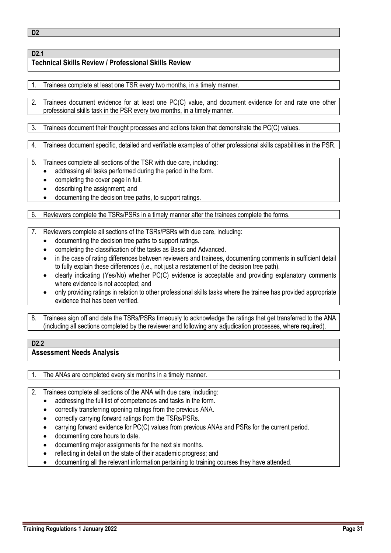**D2**

#### **D2.1 Technical Skills Review / Professional Skills Review**

1. Trainees complete at least one TSR every two months, in a timely manner.

2. Trainees document evidence for at least one PC(C) value, and document evidence for and rate one other professional skills task in the PSR every two months, in a timely manner.

3. Trainees document their thought processes and actions taken that demonstrate the PC(C) values.

4. Trainees document specific, detailed and verifiable examples of other professional skills capabilities in the PSR.

5. Trainees complete all sections of the TSR with due care, including:

- addressing all tasks performed during the period in the form.
	- completing the cover page in full.
	- describing the assignment; and
	- documenting the decision tree paths, to support ratings.

6. Reviewers complete the TSRs/PSRs in a timely manner after the trainees complete the forms.

- 7. Reviewers complete all sections of the TSRs/PSRs with due care, including:
	- documenting the decision tree paths to support ratings.
	- completing the classification of the tasks as Basic and Advanced.
	- in the case of rating differences between reviewers and trainees, documenting comments in sufficient detail to fully explain these differences (i.e., not just a restatement of the decision tree path).
	- clearly indicating (Yes/No) whether PC(C) evidence is acceptable and providing explanatory comments where evidence is not accepted; and
	- only providing ratings in relation to other professional skills tasks where the trainee has provided appropriate evidence that has been verified.
- 8. Trainees sign off and date the TSRs/PSRs timeously to acknowledge the ratings that get transferred to the ANA (including all sections completed by the reviewer and following any adjudication processes, where required).

#### **D2.2 Assessment Needs Analysis**

1. The ANAs are completed every six months in a timely manner.

2. Trainees complete all sections of the ANA with due care, including:

- addressing the full list of competencies and tasks in the form.
- correctly transferring opening ratings from the previous ANA.
- correctly carrying forward ratings from the TSRs/PSRs.
- carrying forward evidence for PC(C) values from previous ANAs and PSRs for the current period.
- documenting core hours to date.
- documenting major assignments for the next six months.
- reflecting in detail on the state of their academic progress; and
- documenting all the relevant information pertaining to training courses they have attended.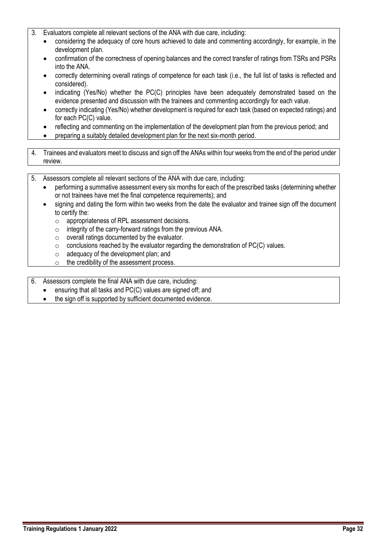- 3. Evaluators complete all relevant sections of the ANA with due care, including:
	- considering the adequacy of core hours achieved to date and commenting accordingly, for example, in the development plan.
	- confirmation of the correctness of opening balances and the correct transfer of ratings from TSRs and PSRs into the ANA.
	- correctly determining overall ratings of competence for each task (i.e., the full list of tasks is reflected and considered).
	- indicating (Yes/No) whether the PC(C) principles have been adequately demonstrated based on the evidence presented and discussion with the trainees and commenting accordingly for each value.
	- correctly indicating (Yes/No) whether development is required for each task (based on expected ratings) and for each PC(C) value.
	- reflecting and commenting on the implementation of the development plan from the previous period; and
	- preparing a suitably detailed development plan for the next six-month period.
- 4. Trainees and evaluators meet to discuss and sign off the ANAs within four weeks from the end of the period under review.
- 5. Assessors complete all relevant sections of the ANA with due care, including:
	- performing a summative assessment every six months for each of the prescribed tasks (determining whether or not trainees have met the final competence requirements); and
	- signing and dating the form within two weeks from the date the evaluator and trainee sign off the document to certify the:
		- $\circ$  appropriateness of RPL assessment decisions.
		- o integrity of the carry-forward ratings from the previous ANA.
		- o overall ratings documented by the evaluator.
		- $\circ$  conclusions reached by the evaluator regarding the demonstration of PC(C) values.
		- $\circ$  adequacy of the development plan; and
		- $\circ$  the credibility of the assessment process.
- 6. Assessors complete the final ANA with due care, including:
	- ensuring that all tasks and PC(C) values are signed off; and
	- the sign off is supported by sufficient documented evidence.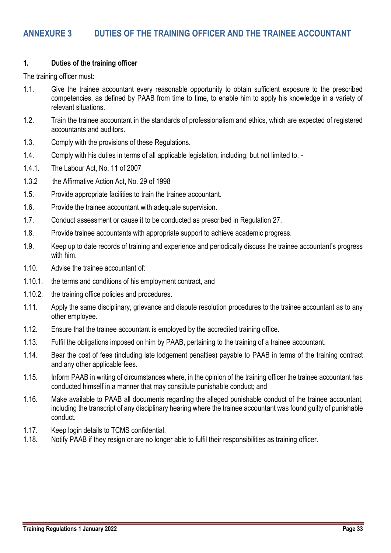#### <span id="page-33-0"></span>**1. Duties of the training officer**

The training officer must:

- 1.1. Give the trainee accountant every reasonable opportunity to obtain sufficient exposure to the prescribed competencies, as defined by PAAB from time to time, to enable him to apply his knowledge in a variety of relevant situations.
- 1.2. Train the trainee accountant in the standards of professionalism and ethics, which are expected of registered accountants and auditors.
- 1.3. Comply with the provisions of these Regulations.
- 1.4. Comply with his duties in terms of all applicable legislation, including, but not limited to, -
- 1.4.1. The Labour Act, No. 11 of 2007
- 1.3.2 the Affirmative Action Act, No. 29 of 1998
- 1.5. Provide appropriate facilities to train the trainee accountant.
- 1.6. Provide the trainee accountant with adequate supervision.
- 1.7. Conduct assessment or cause it to be conducted as prescribed in Regulation 27.
- 1.8. Provide trainee accountants with appropriate support to achieve academic progress.
- 1.9. Keep up to date records of training and experience and periodically discuss the trainee accountant's progress with him.
- 1.10. Advise the trainee accountant of:
- 1.10.1. the terms and conditions of his employment contract, and
- 1.10.2. the training office policies and procedures.
- 1.11. Apply the same disciplinary, grievance and dispute resolution procedures to the trainee accountant as to any other employee.
- 1.12. Ensure that the trainee accountant is employed by the accredited training office.
- 1.13. Fulfil the obligations imposed on him by PAAB, pertaining to the training of a trainee accountant.
- 1.14. Bear the cost of fees (including late lodgement penalties) payable to PAAB in terms of the training contract and any other applicable fees.
- 1.15. Inform PAAB in writing of circumstances where, in the opinion of the training officer the trainee accountant has conducted himself in a manner that may constitute punishable conduct; and
- 1.16. Make available to PAAB all documents regarding the alleged punishable conduct of the trainee accountant, including the transcript of any disciplinary hearing where the trainee accountant was found guilty of punishable conduct.
- 1.17. Keep login details to TCMS confidential.
- 1.18. Notify PAAB if they resign or are no longer able to fulfil their responsibilities as training officer.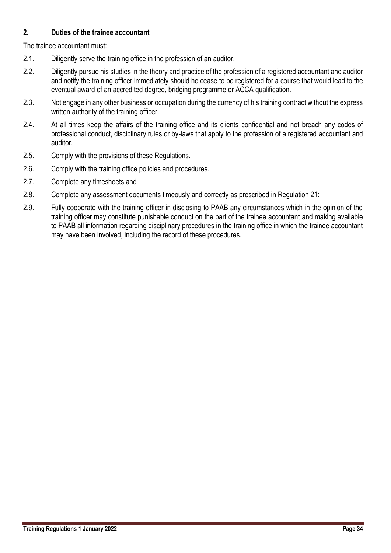### **2. Duties of the trainee accountant**

The trainee accountant must:

- 2.1. Diligently serve the training office in the profession of an auditor.
- 2.2. Diligently pursue his studies in the theory and practice of the profession of a registered accountant and auditor and notify the training officer immediately should he cease to be registered for a course that would lead to the eventual award of an accredited degree, bridging programme or ACCA qualification.
- 2.3. Not engage in any other business or occupation during the currency of his training contract without the express written authority of the training officer.
- 2.4. At all times keep the affairs of the training office and its clients confidential and not breach any codes of professional conduct, disciplinary rules or by-laws that apply to the profession of a registered accountant and auditor.
- 2.5. Comply with the provisions of these Regulations.
- 2.6. Comply with the training office policies and procedures.
- 2.7. Complete any timesheets and
- 2.8. Complete any assessment documents timeously and correctly as prescribed in Regulation 21:
- 2.9. Fully cooperate with the training officer in disclosing to PAAB any circumstances which in the opinion of the training officer may constitute punishable conduct on the part of the trainee accountant and making available to PAAB all information regarding disciplinary procedures in the training office in which the trainee accountant may have been involved, including the record of these procedures.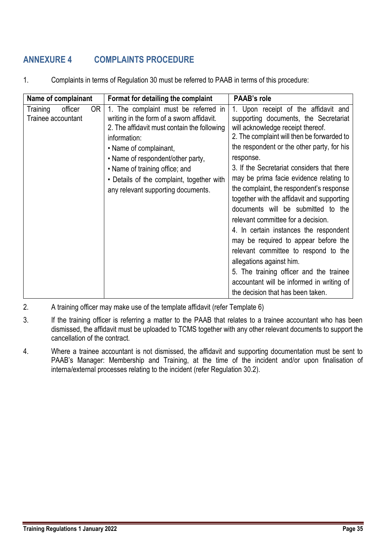# <span id="page-35-0"></span>**ANNEXURE 4 COMPLAINTS PROCEDURE**

| Name of complainant                             | Format for detailing the complaint                                                                                                                                                                                                                                                                                                   | <b>PAAB's role</b>                                                                                                                                                                                                                                                                                                                                                                                                                                                                                                                                                                                                                                                                                                                                                            |
|-------------------------------------------------|--------------------------------------------------------------------------------------------------------------------------------------------------------------------------------------------------------------------------------------------------------------------------------------------------------------------------------------|-------------------------------------------------------------------------------------------------------------------------------------------------------------------------------------------------------------------------------------------------------------------------------------------------------------------------------------------------------------------------------------------------------------------------------------------------------------------------------------------------------------------------------------------------------------------------------------------------------------------------------------------------------------------------------------------------------------------------------------------------------------------------------|
| officer<br>0R<br>Training<br>Trainee accountant | 1. The complaint must be referred in<br>writing in the form of a sworn affidavit.<br>2. The affidavit must contain the following<br>information:<br>• Name of complainant,<br>• Name of respondent/other party,<br>• Name of training office; and<br>• Details of the complaint, together with<br>any relevant supporting documents. | 1. Upon receipt of the affidavit and<br>supporting documents, the Secretariat<br>will acknowledge receipt thereof.<br>2. The complaint will then be forwarded to<br>the respondent or the other party, for his<br>response.<br>3. If the Secretariat considers that there<br>may be prima facie evidence relating to<br>the complaint, the respondent's response<br>together with the affidavit and supporting<br>documents will be submitted to the<br>relevant committee for a decision.<br>4. In certain instances the respondent<br>may be required to appear before the<br>relevant committee to respond to the<br>allegations against him.<br>5. The training officer and the trainee<br>accountant will be informed in writing of<br>the decision that has been taken. |

1. Complaints in terms of Regulation 30 must be referred to PAAB in terms of this procedure:

- 2. A training officer may make use of the template affidavit (refer Template 6)
- 3. If the training officer is referring a matter to the PAAB that relates to a trainee accountant who has been dismissed, the affidavit must be uploaded to TCMS together with any other relevant documents to support the cancellation of the contract.
- 4. Where a trainee accountant is not dismissed, the affidavit and supporting documentation must be sent to PAAB's Manager: Membership and Training, at the time of the incident and/or upon finalisation of interna/external processes relating to the incident (refer Regulation 30.2).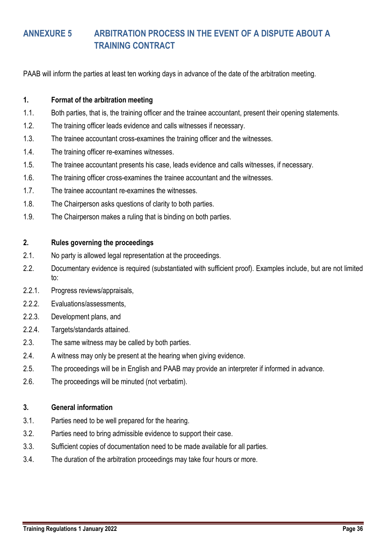# <span id="page-36-0"></span>**ANNEXURE 5 ARBITRATION PROCESS IN THE EVENT OF A DISPUTE ABOUT A TRAINING CONTRACT**

PAAB will inform the parties at least ten working days in advance of the date of the arbitration meeting.

### **1. Format of the arbitration meeting**

- 1.1. Both parties, that is, the training officer and the trainee accountant, present their opening statements.
- 1.2. The training officer leads evidence and calls witnesses if necessary.
- 1.3. The trainee accountant cross-examines the training officer and the witnesses.
- 1.4. The training officer re-examines witnesses.
- 1.5. The trainee accountant presents his case, leads evidence and calls witnesses, if necessary.
- 1.6. The training officer cross-examines the trainee accountant and the witnesses.
- 1.7. The trainee accountant re-examines the witnesses.
- 1.8. The Chairperson asks questions of clarity to both parties.
- 1.9. The Chairperson makes a ruling that is binding on both parties.

#### **2. Rules governing the proceedings**

- 2.1. No party is allowed legal representation at the proceedings.
- 2.2. Documentary evidence is required (substantiated with sufficient proof). Examples include, but are not limited to:
- 2.2.1. Progress reviews/appraisals,
- 2.2.2. Evaluations/assessments,
- 2.2.3. Development plans, and
- 2.2.4. Targets/standards attained.
- 2.3. The same witness may be called by both parties.
- 2.4. A witness may only be present at the hearing when giving evidence.
- 2.5. The proceedings will be in English and PAAB may provide an interpreter if informed in advance.
- 2.6. The proceedings will be minuted (not verbatim).

#### **3. General information**

- 3.1. Parties need to be well prepared for the hearing.
- 3.2. Parties need to bring admissible evidence to support their case.
- 3.3. Sufficient copies of documentation need to be made available for all parties.
- 3.4. The duration of the arbitration proceedings may take four hours or more.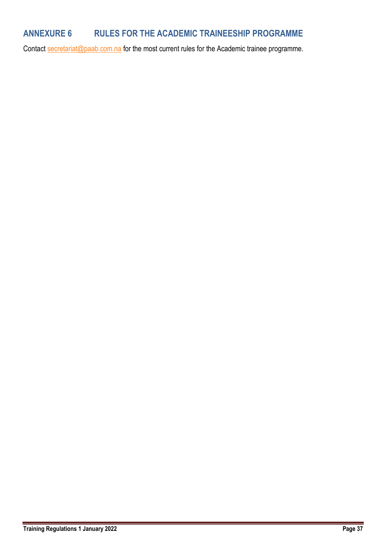# <span id="page-37-0"></span>**ANNEXURE 6 RULES FOR THE ACADEMIC TRAINEESHIP PROGRAMME**

Contact [secretariat@paab.com.na](mailto:secretariat@paab.com.na) for the most current rules for the Academic trainee programme.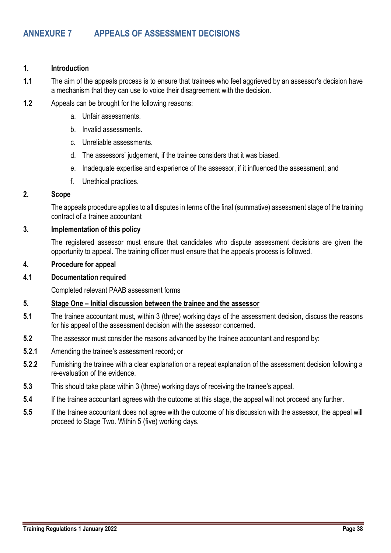#### <span id="page-38-0"></span>**1. Introduction**

- **1.1** The aim of the appeals process is to ensure that trainees who feel aggrieved by an assessor's decision have a mechanism that they can use to voice their disagreement with the decision.
- **1.2** Appeals can be brought for the following reasons:
	- a. Unfair assessments.
	- b. Invalid assessments.
	- c. Unreliable assessments.
	- d. The assessors' judgement, if the trainee considers that it was biased.
	- e. Inadequate expertise and experience of the assessor, if it influenced the assessment; and
	- f. Unethical practices.

#### **2. Scope**

The appeals procedure applies to all disputes in terms of the final (summative) assessment stage of the training contract of a trainee accountant

#### **3. Implementation of this policy**

The registered assessor must ensure that candidates who dispute assessment decisions are given the opportunity to appeal. The training officer must ensure that the appeals process is followed.

#### **4. Procedure for appeal**

#### **4.1 Documentation required**

Completed relevant PAAB assessment forms

### **5. Stage One – Initial discussion between the trainee and the assessor**

- **5.1** The trainee accountant must, within 3 (three) working days of the assessment decision, discuss the reasons for his appeal of the assessment decision with the assessor concerned.
- **5.2** The assessor must consider the reasons advanced by the trainee accountant and respond by:
- **5.2.1** Amending the trainee's assessment record; or
- **5.2.2** Furnishing the trainee with a clear explanation or a repeat explanation of the assessment decision following a re-evaluation of the evidence.
- **5.3** This should take place within 3 (three) working days of receiving the trainee's appeal.
- **5.4** If the trainee accountant agrees with the outcome at this stage, the appeal will not proceed any further.
- **5.5** If the trainee accountant does not agree with the outcome of his discussion with the assessor, the appeal will proceed to Stage Two. Within 5 (five) working days.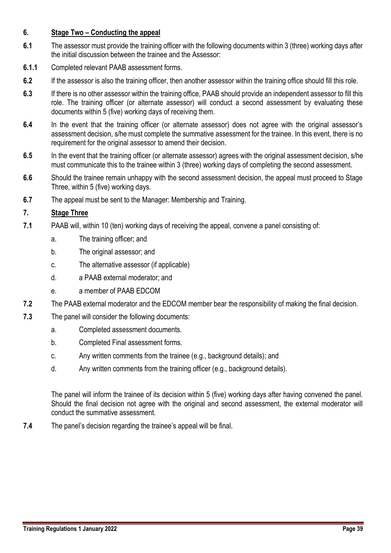### **6. Stage Two – Conducting the appeal**

- **6.1** The assessor must provide the training officer with the following documents within 3 (three) working days after the initial discussion between the trainee and the Assessor:
- **6.1.1** Completed relevant PAAB assessment forms.
- **6.2** If the assessor is also the training officer, then another assessor within the training office should fill this role.
- **6.3** If there is no other assessor within the training office, PAAB should provide an independent assessor to fill this role. The training officer (or alternate assessor) will conduct a second assessment by evaluating these documents within 5 (five) working days of receiving them.
- **6.4** In the event that the training officer (or alternate assessor) does not agree with the original assessor's assessment decision, s/he must complete the summative assessment for the trainee. In this event, there is no requirement for the original assessor to amend their decision.
- **6.5** In the event that the training officer (or alternate assessor) agrees with the original assessment decision, s/he must communicate this to the trainee within 3 (three) working days of completing the second assessment.
- **6.6** Should the trainee remain unhappy with the second assessment decision, the appeal must proceed to Stage Three, within 5 (five) working days.
- **6.7** The appeal must be sent to the Manager: Membership and Training.

### **7. Stage Three**

- **7.1** PAAB will, within 10 (ten) working days of receiving the appeal, convene a panel consisting of:
	- a. The training officer; and
	- b. The original assessor; and
	- c. The alternative assessor (if applicable)
	- d. a PAAB external moderator; and
	- e. a member of PAAB EDCOM
- **7.2** The PAAB external moderator and the EDCOM member bear the responsibility of making the final decision.
- **7.3** The panel will consider the following documents:
	- a. Completed assessment documents.
	- b. Completed Final assessment forms.
	- c. Any written comments from the trainee (e.g., background details); and
	- d. Any written comments from the training officer (e.g., background details).

The panel will inform the trainee of its decision within 5 (five) working days after having convened the panel. Should the final decision not agree with the original and second assessment, the external moderator will conduct the summative assessment.

**7.4** The panel's decision regarding the trainee's appeal will be final.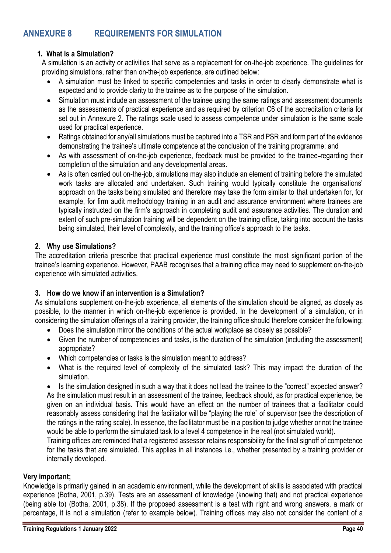# <span id="page-40-0"></span>**ANNEXURE 8 REQUIREMENTS FOR SIMULATION**

### **1. What is a Simulation?**

A simulation is an activity or activities that serve as a replacement for on-the-job experience. The guidelines for providing simulations, rather than on-the-job experience, are outlined below:

- A simulation must be linked to specific competencies and tasks in order to clearly demonstrate what is expected and to provide clarity to the trainee as to the purpose of the simulation.
- Simulation must include an assessment of the trainee using the same ratings and assessment documents as the assessments of practical experience and as required by criterion C6 of the accreditation criteria for set out in Annexure 2. The ratings scale used to assess competence under simulation is the same scale used for practical experience.
- Ratings obtained for any/all simulations must be captured into a TSR and PSR and form part of the evidence demonstrating the trainee's ultimate competence at the conclusion of the training programme; and
- As with assessment of on-the-job experience, feedback must be provided to the trainee-regarding their completion of the simulation and any developmental areas.
- As is often carried out on-the-job, simulations may also include an element of training before the simulated work tasks are allocated and undertaken. Such training would typically constitute the organisations' approach on the tasks being simulated and therefore may take the form similar to that undertaken for, for example, for firm audit methodology training in an audit and assurance environment where trainees are typically instructed on the firm's approach in completing audit and assurance activities. The duration and extent of such pre-simulation training will be dependent on the training office, taking into account the tasks being simulated, their level of complexity, and the training office's approach to the tasks.

### **2. Why use Simulations?**

The accreditation criteria prescribe that practical experience must constitute the most significant portion of the trainee's learning experience. However, PAAB recognises that a training office may need to supplement on-the-job experience with simulated activities.

### **3. How do we know if an intervention is a Simulation?**

As simulations supplement on-the-job experience, all elements of the simulation should be aligned, as closely as possible, to the manner in which on-the-job experience is provided. In the development of a simulation, or in considering the simulation offerings of a training provider, the training office should therefore consider the following:

- Does the simulation mirror the conditions of the actual workplace as closely as possible?
- Given the number of competencies and tasks, is the duration of the simulation (including the assessment) appropriate?
- Which competencies or tasks is the simulation meant to address?
- What is the required level of complexity of the simulated task? This may impact the duration of the simulation.

• Is the simulation designed in such a way that it does not lead the trainee to the "correct" expected answer? As the simulation must result in an assessment of the trainee, feedback should, as for practical experience, be given on an individual basis. This would have an effect on the number of trainees that a facilitator could reasonably assess considering that the facilitator will be "playing the role" of supervisor (see the description of the ratings in the rating scale). In essence, the facilitator must be in a position to judge whether or not the trainee would be able to perform the simulated task to a level 4 competence in the real (not simulated world).

Training offices are reminded that a registered assessor retains responsibility for the final signoff of competence for the tasks that are simulated. This applies in all instances i.e., whether presented by a training provider or internally developed.

#### **Very important;**

Knowledge is primarily gained in an academic environment, while the development of skills is associated with practical experience (Botha, 2001, p.39). Tests are an assessment of knowledge (knowing that) and not practical experience (being able to) (Botha, 2001, p.38). If the proposed assessment is a test with right and wrong answers, a mark or percentage, it is not a simulation (refer to example below). Training offices may also not consider the content of a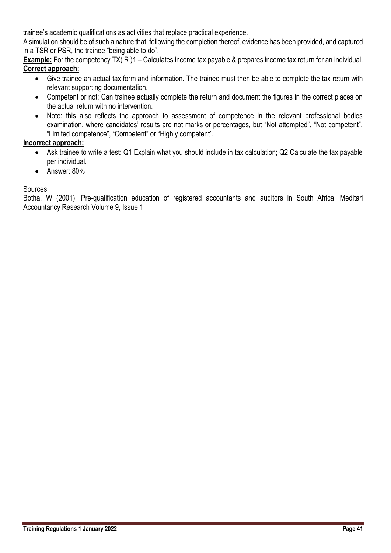trainee's academic qualifications as activities that replace practical experience.

A simulation should be of such a nature that, following the completion thereof, evidence has been provided, and captured in a TSR or PSR, the trainee "being able to do".

**Example:** For the competency TX(R)1 – Calculates income tax payable & prepares income tax return for an individual. **Correct approach:**

- Give trainee an actual tax form and information. The trainee must then be able to complete the tax return with relevant supporting documentation.
- Competent or not: Can trainee actually complete the return and document the figures in the correct places on the actual return with no intervention.
- Note: this also reflects the approach to assessment of competence in the relevant professional bodies examination, where candidates' results are not marks or percentages, but "Not attempted", "Not competent", "Limited competence", "Competent" or "Highly competent'.

### **Incorrect approach:**

- Ask trainee to write a test: Q1 Explain what you should include in tax calculation; Q2 Calculate the tax payable per individual.
- Answer: 80%

### Sources:

Botha, W (2001). Pre-qualification education of registered accountants and auditors in South Africa. Meditari Accountancy Research Volume 9, Issue 1.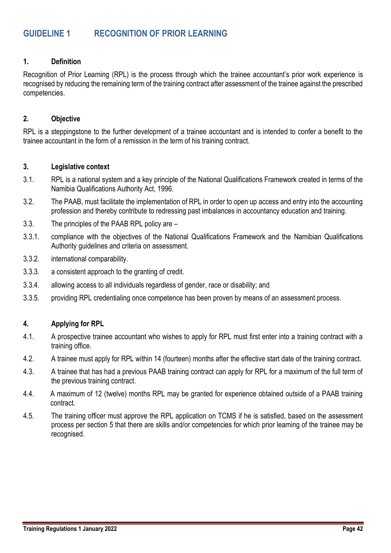# <span id="page-42-0"></span>**GUIDELINE 1 RECOGNITION OF PRIOR LEARNING**

#### **1. Definition**

Recognition of Prior Learning (RPL) is the process through which the trainee accountant's prior work experience is recognised by reducing the remaining term of the training contract after assessment of the trainee against the prescribed competencies.

#### **2. Objective**

RPL is a steppingstone to the further development of a trainee accountant and is intended to confer a benefit to the trainee accountant in the form of a remission in the term of his training contract.

#### **3. Legislative context**

- 3.1. RPL is a national system and a key principle of the National Qualifications Framework created in terms of the Namibia Qualifications Authority Act, 1996.
- 3.2. The PAAB, must facilitate the implementation of RPL in order to open up access and entry into the accounting profession and thereby contribute to redressing past imbalances in accountancy education and training.
- 3.3. The principles of the PAAB RPL policy are –
- 3.3.1. compliance with the objectives of the National Qualifications Framework and the Namibian Qualifications Authority guidelines and criteria on assessment.
- 3.3.2. international comparability.
- 3.3.3. a consistent approach to the granting of credit.
- 3.3.4. allowing access to all individuals regardless of gender, race or disability; and
- 3.3.5. providing RPL credentialing once competence has been proven by means of an assessment process.

#### **4. Applying for RPL**

- 4.1. A prospective trainee accountant who wishes to apply for RPL must first enter into a training contract with a training office.
- 4.2. A trainee must apply for RPL within 14 (fourteen) months after the effective start date of the training contract.
- 4.3. A trainee that has had a previous PAAB training contract can apply for RPL for a maximum of the full term of the previous training contract.
- 4.4. A maximum of 12 (twelve) months RPL may be granted for experience obtained outside of a PAAB training contract.
- 4.5. The training officer must approve the RPL application on TCMS if he is satisfied, based on the assessment process per section 5 that there are skills and/or competencies for which prior learning of the trainee may be recognised.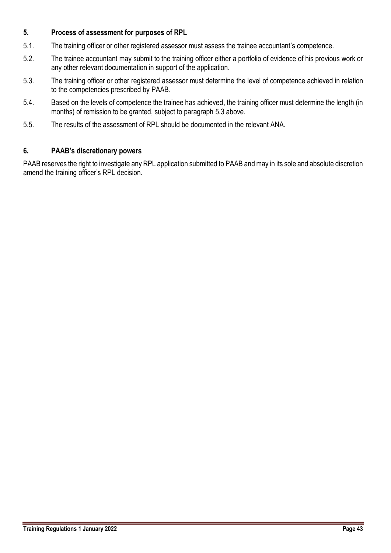### **5. Process of assessment for purposes of RPL**

- 5.1. The training officer or other registered assessor must assess the trainee accountant's competence.
- 5.2. The trainee accountant may submit to the training officer either a portfolio of evidence of his previous work or any other relevant documentation in support of the application.
- 5.3. The training officer or other registered assessor must determine the level of competence achieved in relation to the competencies prescribed by PAAB.
- 5.4. Based on the levels of competence the trainee has achieved, the training officer must determine the length (in months) of remission to be granted, subject to paragraph 5.3 above.
- 5.5. The results of the assessment of RPL should be documented in the relevant ANA.

### **6. PAAB's discretionary powers**

PAAB reserves the right to investigate any RPL application submitted to PAAB and may in its sole and absolute discretion amend the training officer's RPL decision.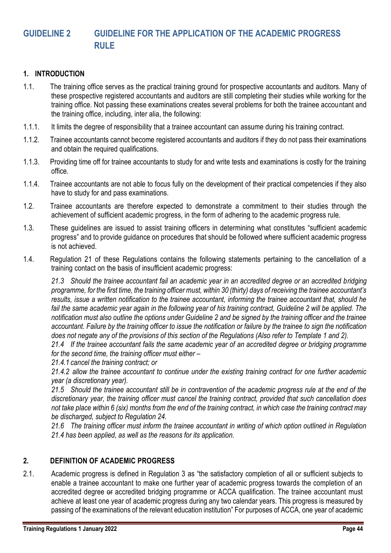# <span id="page-44-0"></span>**GUIDELINE 2 GUIDELINE FOR THE APPLICATION OF THE ACADEMIC PROGRESS RULE**

#### **1. INTRODUCTION**

- 1.1. The training office serves as the practical training ground for prospective accountants and auditors. Many of these prospective registered accountants and auditors are still completing their studies while working for the training office. Not passing these examinations creates several problems for both the trainee accountant and the training office, including, inter alia, the following:
- 1.1.1. It limits the degree of responsibility that a trainee accountant can assume during his training contract.
- 1.1.2. Trainee accountants cannot become registered accountants and auditors if they do not pass their examinations and obtain the required qualifications.
- 1.1.3. Providing time off for trainee accountants to study for and write tests and examinations is costly for the training office.
- 1.1.4. Trainee accountants are not able to focus fully on the development of their practical competencies if they also have to study for and pass examinations.
- 1.2. Trainee accountants are therefore expected to demonstrate a commitment to their studies through the achievement of sufficient academic progress, in the form of adhering to the academic progress rule.
- 1.3. These guidelines are issued to assist training officers in determining what constitutes "sufficient academic progress" and to provide guidance on procedures that should be followed where sufficient academic progress is not achieved.
- 1.4. Regulation 21 of these Regulations contains the following statements pertaining to the cancellation of a training contact on the basis of insufficient academic progress:

*21.3 Should the trainee accountant fail an academic year in an accredited degree or an accredited bridging programme, for the first time, the training officer must, within 30 (thirty) days of receiving the trainee accountant's results, issue a written notification to the trainee accountant, informing the trainee accountant that, should he*  fail the same academic year again in the following year of his training contract, Guideline 2 will be applied. The *notification must also outline the options under Guideline 2 and be signed by the training officer and the trainee accountant. Failure by the training officer to issue the notification or failure by the trainee to sign the notification does not negate any of the provisions of this section of the Regulations (Also refer to Template 1 and 2).*

*21.4 If the trainee accountant fails the same academic year of an accredited degree or bridging programme for the second time, the training officer must either –*

*21.4.1 cancel the training contract; or* 

*21.4.2 allow the trainee accountant to continue under the existing training contract for one further academic year (a discretionary year).* 

*21.5 Should the trainee accountant still be in contravention of the academic progress rule at the end of the discretionary year, the training officer must cancel the training contract, provided that such cancellation does not take place within 6 (six) months from the end of the training contract, in which case the training contract may be discharged, subject to Regulation 24.* 

*21.6 The training officer must inform the trainee accountant in writing of which option outlined in Regulation 21.4 has been applied, as well as the reasons for its application.*

#### **2. DEFINITION OF ACADEMIC PROGRESS**

2.1. Academic progress is defined in Regulation 3 as "the satisfactory completion of all or sufficient subjects to enable a trainee accountant to make one further year of academic progress towards the completion of an accredited degree or accredited bridging programme or ACCA qualification. The trainee accountant must achieve at least one year of academic progress during any two calendar years. This progress is measured by passing of the examinations of the relevant education institution" For purposes of ACCA, one year of academic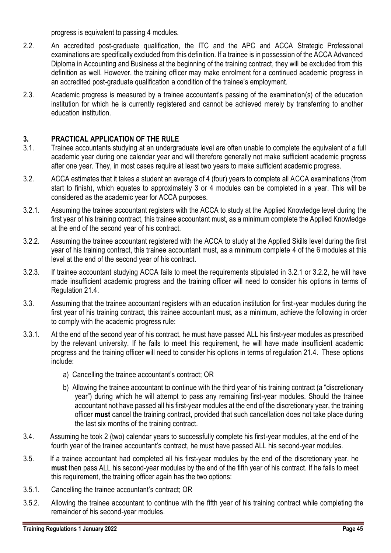progress is equivalent to passing 4 modules.

- 2.2. An accredited post-graduate qualification, the ITC and the APC and ACCA Strategic Professional examinations are specifically excluded from this definition. If a trainee is in possession of the ACCA Advanced Diploma in Accounting and Business at the beginning of the training contract, they will be excluded from this definition as well. However, the training officer may make enrolment for a continued academic progress in an accredited post-graduate qualification a condition of the trainee's employment.
- 2.3. Academic progress is measured by a trainee accountant's passing of the examination(s) of the education institution for which he is currently registered and cannot be achieved merely by transferring to another education institution.

### **3. PRACTICAL APPLICATION OF THE RULE**

- 3.1. Trainee accountants studying at an undergraduate level are often unable to complete the equivalent of a full academic year during one calendar year and will therefore generally not make sufficient academic progress after one year. They, in most cases require at least two years to make sufficient academic progress.
- 3.2. ACCA estimates that it takes a student an average of 4 (four) years to complete all ACCA examinations (from start to finish), which equates to approximately 3 or 4 modules can be completed in a year. This will be considered as the academic year for ACCA purposes.
- 3.2.1. Assuming the trainee accountant registers with the ACCA to study at the Applied Knowledge level during the first year of his training contract, this trainee accountant must, as a minimum complete the Applied Knowledge at the end of the second year of his contract.
- 3.2.2. Assuming the trainee accountant registered with the ACCA to study at the Applied Skills level during the first year of his training contract, this trainee accountant must, as a minimum complete 4 of the 6 modules at this level at the end of the second year of his contract.
- 3.2.3. If trainee accountant studying ACCA fails to meet the requirements stipulated in 3.2.1 or 3.2.2, he will have made insufficient academic progress and the training officer will need to consider his options in terms of Regulation 21.4.
- 3.3. Assuming that the trainee accountant registers with an education institution for first-year modules during the first year of his training contract, this trainee accountant must, as a minimum, achieve the following in order to comply with the academic progress rule:
- 3.3.1. At the end of the second year of his contract, he must have passed ALL his first-year modules as prescribed by the relevant university. If he fails to meet this requirement, he will have made insufficient academic progress and the training officer will need to consider his options in terms of regulation 21.4. These options include:
	- a) Cancelling the trainee accountant's contract; OR
	- b) Allowing the trainee accountant to continue with the third year of his training contract (a "discretionary year") during which he will attempt to pass any remaining first-year modules. Should the trainee accountant not have passed all his first-year modules at the end of the discretionary year, the training officer **must** cancel the training contract, provided that such cancellation does not take place during the last six months of the training contract.
- 3.4. Assuming he took 2 (two) calendar years to successfully complete his first-year modules, at the end of the fourth year of the trainee accountant's contract, he must have passed ALL his second-year modules.
- 3.5. If a trainee accountant had completed all his first-year modules by the end of the discretionary year, he **must** then pass ALL his second-year modules by the end of the fifth year of his contract. If he fails to meet this requirement, the training officer again has the two options:
- 3.5.1. Cancelling the trainee accountant's contract; OR
- 3.5.2. Allowing the trainee accountant to continue with the fifth year of his training contract while completing the remainder of his second-year modules.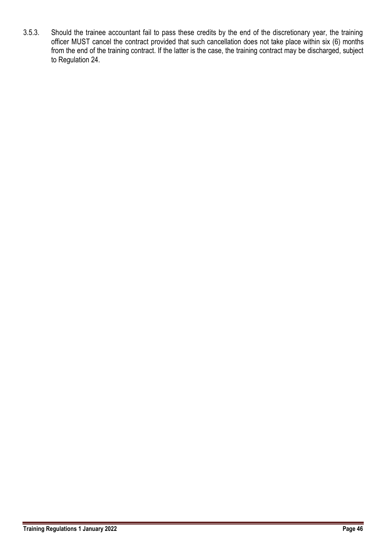3.5.3. Should the trainee accountant fail to pass these credits by the end of the discretionary year, the training officer MUST cancel the contract provided that such cancellation does not take place within six (6) months from the end of the training contract. If the latter is the case, the training contract may be discharged, subject to Regulation 24.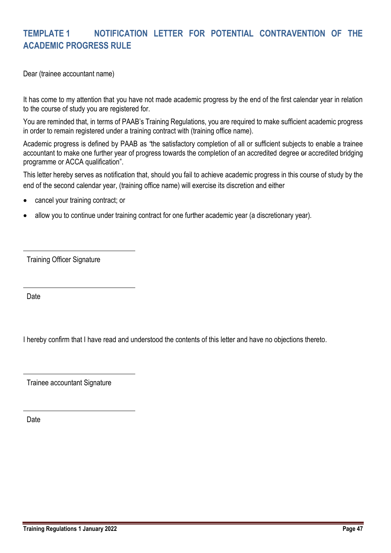# <span id="page-47-0"></span>**TEMPLATE 1 NOTIFICATION LETTER FOR POTENTIAL CONTRAVENTION OF THE ACADEMIC PROGRESS RULE**

Dear (trainee accountant name)

It has come to my attention that you have not made academic progress by the end of the first calendar year in relation to the course of study you are registered for.

You are reminded that, in terms of PAAB's Training Regulations, you are required to make sufficient academic progress in order to remain registered under a training contract with (training office name).

Academic progress is defined by PAAB as *"*the satisfactory completion of all or sufficient subjects to enable a trainee accountant to make one further year of progress towards the completion of an accredited degree or accredited bridging programme or ACCA qualification".

This letter hereby serves as notification that, should you fail to achieve academic progress in this course of study by the end of the second calendar year, (training office name) will exercise its discretion and either

- cancel your training contract; or
- allow you to continue under training contract for one further academic year (a discretionary year).

Training Officer Signature

Date

I hereby confirm that I have read and understood the contents of this letter and have no objections thereto.

Trainee accountant Signature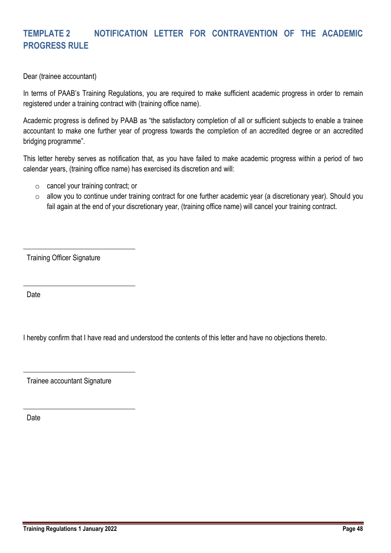# <span id="page-48-0"></span>**TEMPLATE 2 NOTIFICATION LETTER FOR CONTRAVENTION OF THE ACADEMIC PROGRESS RULE**

Dear (trainee accountant)

In terms of PAAB's Training Regulations, you are required to make sufficient academic progress in order to remain registered under a training contract with (training office name).

Academic progress is defined by PAAB as "the satisfactory completion of all or sufficient subjects to enable a trainee accountant to make one further year of progress towards the completion of an accredited degree or an accredited bridging programme".

This letter hereby serves as notification that, as you have failed to make academic progress within a period of two calendar years, (training office name) has exercised its discretion and will:

- o cancel your training contract; or
- o allow you to continue under training contract for one further academic year (a discretionary year). Should you fail again at the end of your discretionary year, (training office name) will cancel your training contract.

Training Officer Signature

Date

I hereby confirm that I have read and understood the contents of this letter and have no objections thereto.

Trainee accountant Signature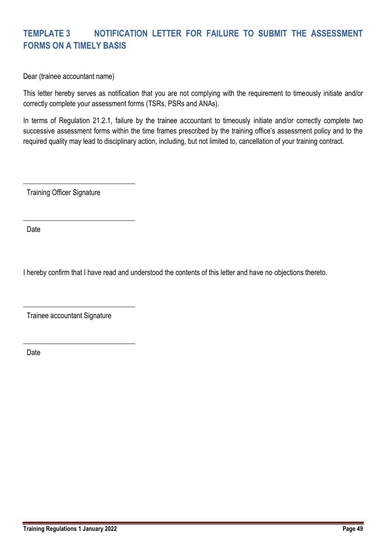# <span id="page-49-0"></span>**TEMPLATE 3 NOTIFICATION LETTER FOR FAILURE TO SUBMIT THE ASSESSMENT FORMS ON A TIMELY BASIS**

Dear (trainee accountant name)

This letter hereby serves as notification that you are not complying with the requirement to timeously initiate and/or correctly complete your assessment forms (TSRs, PSRs and ANAs).

In terms of Regulation 21.2.1, failure by the trainee accountant to timeously initiate and/or correctly complete two successive assessment forms within the time frames prescribed by the training office's assessment policy and to the required quality may lead to disciplinary action, including, but not limited to, cancellation of your training contract.

Training Officer Signature

Date

I hereby confirm that I have read and understood the contents of this letter and have no objections thereto.

Trainee accountant Signature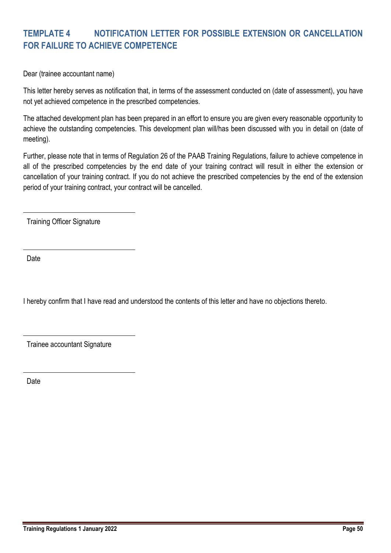# <span id="page-50-0"></span>**TEMPLATE 4 NOTIFICATION LETTER FOR POSSIBLE EXTENSION OR CANCELLATION FOR FAILURE TO ACHIEVE COMPETENCE**

Dear (trainee accountant name)

This letter hereby serves as notification that, in terms of the assessment conducted on (date of assessment), you have not yet achieved competence in the prescribed competencies.

The attached development plan has been prepared in an effort to ensure you are given every reasonable opportunity to achieve the outstanding competencies. This development plan will/has been discussed with you in detail on (date of meeting).

Further, please note that in terms of Regulation 26 of the PAAB Training Regulations, failure to achieve competence in all of the prescribed competencies by the end date of your training contract will result in either the extension or cancellation of your training contract. If you do not achieve the prescribed competencies by the end of the extension period of your training contract, your contract will be cancelled.

Training Officer Signature

**Date** 

I hereby confirm that I have read and understood the contents of this letter and have no objections thereto.

Trainee accountant Signature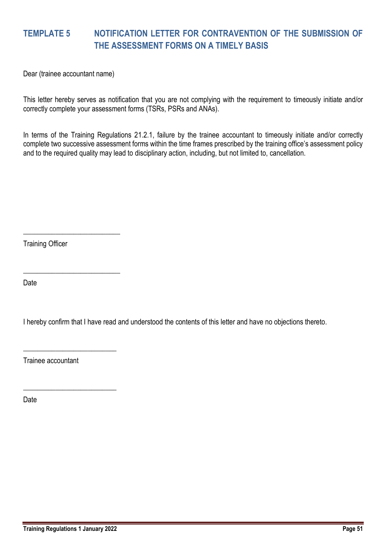# <span id="page-51-0"></span>**TEMPLATE 5 NOTIFICATION LETTER FOR CONTRAVENTION OF THE SUBMISSION OF THE ASSESSMENT FORMS ON A TIMELY BASIS**

Dear (trainee accountant name)

This letter hereby serves as notification that you are not complying with the requirement to timeously initiate and/or correctly complete your assessment forms (TSRs, PSRs and ANAs).

In terms of the Training Regulations 21.2.1, failure by the trainee accountant to timeously initiate and/or correctly complete two successive assessment forms within the time frames prescribed by the training office's assessment policy and to the required quality may lead to disciplinary action, including, but not limited to, cancellation.

Training Officer

\_\_\_\_\_\_\_\_\_\_\_\_\_\_\_\_\_\_\_\_\_\_\_\_\_\_\_

\_\_\_\_\_\_\_\_\_\_\_\_\_\_\_\_\_\_\_\_\_\_\_\_\_\_\_

\_\_\_\_\_\_\_\_\_\_\_\_\_\_\_\_\_\_\_\_\_\_\_\_\_\_

\_\_\_\_\_\_\_\_\_\_\_\_\_\_\_\_\_\_\_\_\_\_\_\_\_\_

Date

I hereby confirm that I have read and understood the contents of this letter and have no objections thereto.

Trainee accountant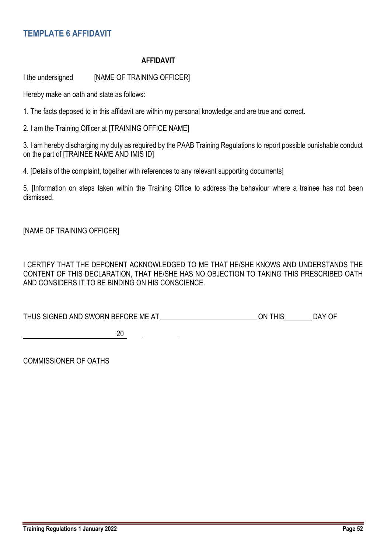# <span id="page-52-0"></span>**TEMPLATE 6 AFFIDAVIT**

#### **AFFIDAVIT**

I the undersigned [NAME OF TRAINING OFFICER]

Hereby make an oath and state as follows:

1. The facts deposed to in this affidavit are within my personal knowledge and are true and correct.

2. I am the Training Officer at [TRAINING OFFICE NAME]

3. I am hereby discharging my duty as required by the PAAB Training Regulations to report possible punishable conduct on the part of [TRAINEE NAME AND IMIS ID]

4. [Details of the complaint, together with references to any relevant supporting documents]

5. [Information on steps taken within the Training Office to address the behaviour where a trainee has not been dismissed.

[NAME OF TRAINING OFFICER]

I CERTIFY THAT THE DEPONENT ACKNOWLEDGED TO ME THAT HE/SHE KNOWS AND UNDERSTANDS THE CONTENT OF THIS DECLARATION, THAT HE/SHE HAS NO OBJECTION TO TAKING THIS PRESCRIBED OATH AND CONSIDERS IT TO BE BINDING ON HIS CONSCIENCE.

THUS SIGNED AND SWORN BEFORE ME AT ON THIS DAY OF

**20 120** 

COMMISSIONER OF OATHS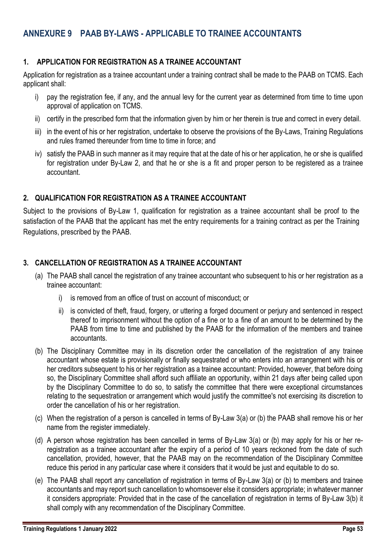### <span id="page-53-1"></span><span id="page-53-0"></span>**1. APPLICATION FOR REGISTRATION AS A TRAINEE ACCOUNTANT**

Application for registration as a trainee accountant under a training contract shall be made to the PAAB on TCMS. Each applicant shall:

- i) pay the registration fee, if any, and the annual levy for the current year as determined from time to time upon approval of application on TCMS.
- ii) certify in the prescribed form that the information given by him or her therein is true and correct in every detail.
- iii) in the event of his or her registration, undertake to observe the provisions of the By-Laws, Training Regulations and rules framed thereunder from time to time in force; and
- iv) satisfy the PAAB in such manner as it may require that at the date of his or her application, he or she is qualified for registration under By-Law 2, and that he or she is a fit and proper person to be registered as a trainee accountant.

### <span id="page-53-2"></span>**2. QUALIFICATION FOR REGISTRATION AS A TRAINEE ACCOUNTANT**

Subject to the provisions of By-Law 1, qualification for registration as a trainee accountant shall be proof to the satisfaction of the PAAB that the applicant has met the entry requirements for a training contract as per the Training Regulations, prescribed by the PAAB.

### <span id="page-53-3"></span>**3. CANCELLATION OF REGISTRATION AS A TRAINEE ACCOUNTANT**

- (a) The PAAB shall cancel the registration of any trainee accountant who subsequent to his or her registration as a trainee accountant:
	- i) is removed from an office of trust on account of misconduct; or
	- ii) is convicted of theft, fraud, forgery, or uttering a forged document or perjury and sentenced in respect thereof to imprisonment without the option of a fine or to a fine of an amount to be determined by the PAAB from time to time and published by the PAAB for the information of the members and trainee accountants.
- (b) The Disciplinary Committee may in its discretion order the cancellation of the registration of any trainee accountant whose estate is provisionally or finally sequestrated or who enters into an arrangement with his or her creditors subsequent to his or her registration as a trainee accountant: Provided, however, that before doing so, the Disciplinary Committee shall afford such affiliate an opportunity, within 21 days after being called upon by the Disciplinary Committee to do so, to satisfy the committee that there were exceptional circumstances relating to the sequestration or arrangement which would justify the committee's not exercising its discretion to order the cancellation of his or her registration.
- (c) When the registration of a person is cancelled in terms of By-Law 3(a) or (b) the PAAB shall remove his or her name from the register immediately.
- (d) A person whose registration has been cancelled in terms of By-Law 3(a) or (b) may apply for his or her reregistration as a trainee accountant after the expiry of a period of 10 years reckoned from the date of such cancellation, provided, however, that the PAAB may on the recommendation of the Disciplinary Committee reduce this period in any particular case where it considers that it would be just and equitable to do so.
- (e) The PAAB shall report any cancellation of registration in terms of By-Law 3(a) or (b) to members and trainee accountants and may report such cancellation to whomsoever else it considers appropriate; in whatever manner it considers appropriate: Provided that in the case of the cancellation of registration in terms of By-Law 3(b) it shall comply with any recommendation of the Disciplinary Committee.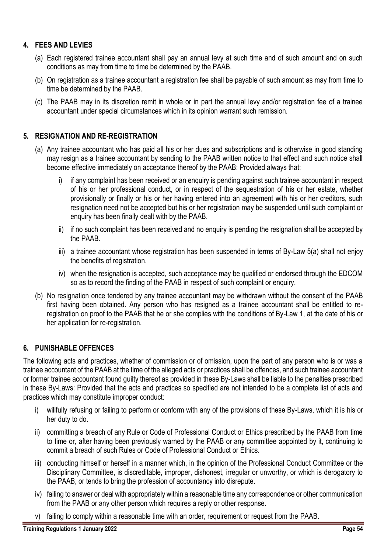### <span id="page-54-0"></span>**4. FEES AND LEVIES**

- (a) Each registered trainee accountant shall pay an annual levy at such time and of such amount and on such conditions as may from time to time be determined by the PAAB.
- (b) On registration as a trainee accountant a registration fee shall be payable of such amount as may from time to time be determined by the PAAB.
- (c) The PAAB may in its discretion remit in whole or in part the annual levy and/or registration fee of a trainee accountant under special circumstances which in its opinion warrant such remission.

### <span id="page-54-1"></span>**5. RESIGNATION AND RE-REGISTRATION**

- (a) Any trainee accountant who has paid all his or her dues and subscriptions and is otherwise in good standing may resign as a trainee accountant by sending to the PAAB written notice to that effect and such notice shall become effective immediately on acceptance thereof by the PAAB: Provided always that:
	- i) if any complaint has been received or an enquiry is pending against such trainee accountant in respect of his or her professional conduct, or in respect of the sequestration of his or her estate, whether provisionally or finally or his or her having entered into an agreement with his or her creditors, such resignation need not be accepted but his or her registration may be suspended until such complaint or enquiry has been finally dealt with by the PAAB.
	- ii) if no such complaint has been received and no enquiry is pending the resignation shall be accepted by the PAAB.
	- iii) a trainee accountant whose registration has been suspended in terms of By-Law 5(a) shall not enjoy the benefits of registration.
	- iv) when the resignation is accepted, such acceptance may be qualified or endorsed through the EDCOM so as to record the finding of the PAAB in respect of such complaint or enquiry.
- (b) No resignation once tendered by any trainee accountant may be withdrawn without the consent of the PAAB first having been obtained. Any person who has resigned as a trainee accountant shall be entitled to reregistration on proof to the PAAB that he or she complies with the conditions of By-Law 1, at the date of his or her application for re-registration.

### <span id="page-54-2"></span>**6. PUNISHABLE OFFENCES**

The following acts and practices, whether of commission or of omission, upon the part of any person who is or was a trainee accountant of the PAAB at the time of the alleged acts or practices shall be offences, and such trainee accountant or former trainee accountant found guilty thereof as provided in these By-Laws shall be liable to the penalties prescribed in these By-Laws: Provided that the acts and practices so specified are not intended to be a complete list of acts and practices which may constitute improper conduct:

- i) willfully refusing or failing to perform or conform with any of the provisions of these By-Laws, which it is his or her duty to do.
- ii) committing a breach of any Rule or Code of Professional Conduct or Ethics prescribed by the PAAB from time to time or, after having been previously warned by the PAAB or any committee appointed by it, continuing to commit a breach of such Rules or Code of Professional Conduct or Ethics.
- iii) conducting himself or herself in a manner which, in the opinion of the Professional Conduct Committee or the Disciplinary Committee, is discreditable, improper, dishonest, irregular or unworthy, or which is derogatory to the PAAB, or tends to bring the profession of accountancy into disrepute.
- iv) failing to answer or deal with appropriately within a reasonable time any correspondence or other communication from the PAAB or any other person which requires a reply or other response.
- v) failing to comply within a reasonable time with an order, requirement or request from the PAAB.